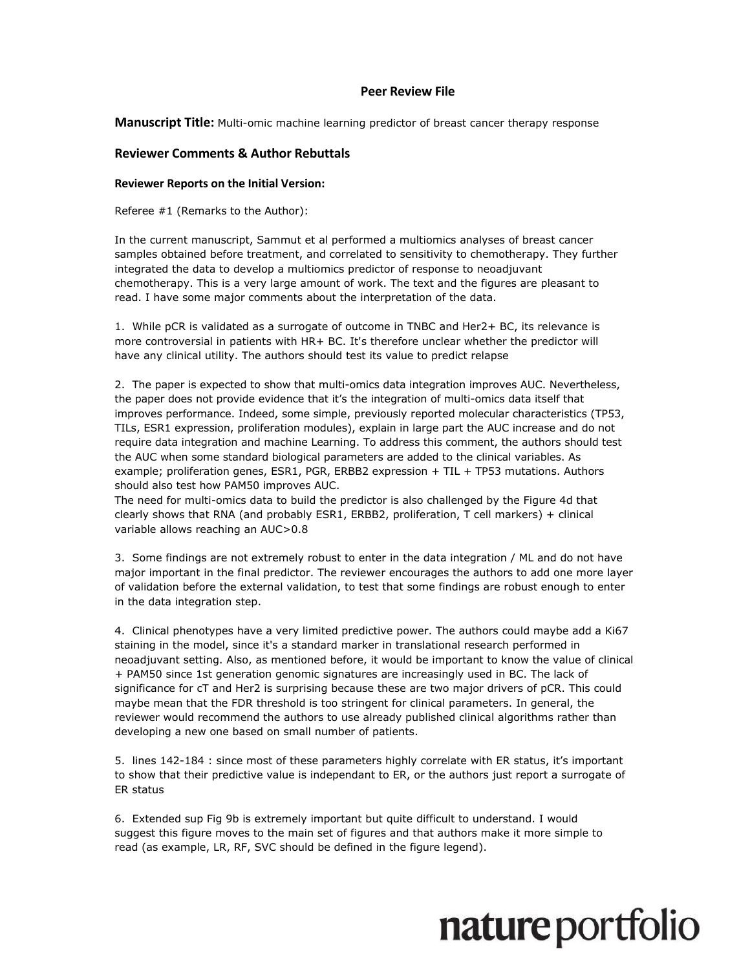#### **Peer Review File**

**Manuscript Title:** Multi-omic machine learning predictor of breast cancer therapy response

#### **Reviewer Comments & Author Rebuttals**

#### **Reviewer Reports on the Initial Version:**

Referee #1 (Remarks to the Author):

In the current manuscript, Sammut et al performed a multiomics analyses of breast cancer samples obtained before treatment, and correlated to sensitivity to chemotherapy. They further integrated the data to develop a multiomics predictor of response to neoadjuvant chemotherapy. This is a very large amount of work. The text and the figures are pleasant to read. I have some major comments about the interpretation of the data.

1. While pCR is validated as a surrogate of outcome in TNBC and Her2+ BC, its relevance is more controversial in patients with HR+ BC. It's therefore unclear whether the predictor will have any clinical utility. The authors should test its value to predict relapse

2. The paper is expected to show that multi-omics data integration improves AUC. Nevertheless, the paper does not provide evidence that it's the integration of multi-omics data itself that improves performance. Indeed, some simple, previously reported molecular characteristics (TP53, TILs, ESR1 expression, proliferation modules), explain in large part the AUC increase and do not require data integration and machine Learning. To address this comment, the authors should test the AUC when some standard biological parameters are added to the clinical variables. As example; proliferation genes, ESR1, PGR, ERBB2 expression + TIL + TP53 mutations. Authors should also test how PAM50 improves AUC.

The need for multi-omics data to build the predictor is also challenged by the Figure 4d that clearly shows that RNA (and probably ESR1, ERBB2, proliferation, T cell markers) + clinical variable allows reaching an AUC>0.8

3. Some findings are not extremely robust to enter in the data integration / ML and do not have major important in the final predictor. The reviewer encourages the authors to add one more layer of validation before the external validation, to test that some findings are robust enough to enter in the data integration step.

4. Clinical phenotypes have a very limited predictive power. The authors could maybe add a Ki67 staining in the model, since it's a standard marker in translational research performed in neoadjuvant setting. Also, as mentioned before, it would be important to know the value of clinical + PAM50 since 1st generation genomic signatures are increasingly used in BC. The lack of significance for cT and Her2 is surprising because these are two major drivers of pCR. This could maybe mean that the FDR threshold is too stringent for clinical parameters. In general, the reviewer would recommend the authors to use already published clinical algorithms rather than developing a new one based on small number of patients.

5. lines 142-184 : since most of these parameters highly correlate with ER status, it's important to show that their predictive value is independant to ER, or the authors just report a surrogate of ER status

6. Extended sup Fig 9b is extremely important but quite difficult to understand. I would suggest this figure moves to the main set of figures and that authors make it more simple to read (as example, LR, RF, SVC should be defined in the figure legend).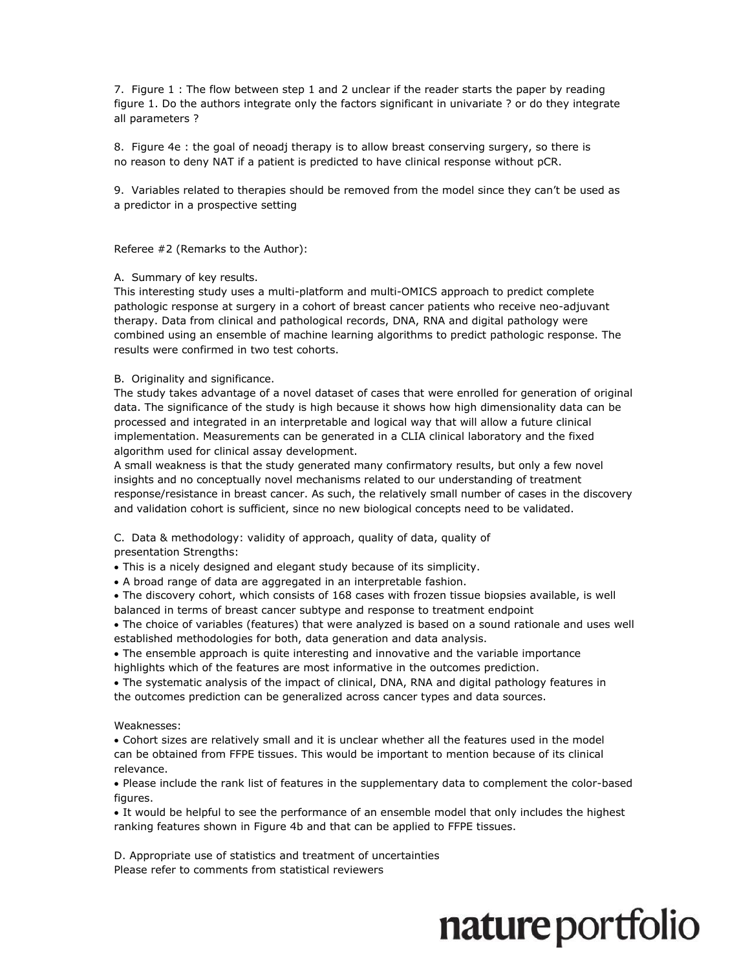7. Figure 1 : The flow between step 1 and 2 unclear if the reader starts the paper by reading figure 1. Do the authors integrate only the factors significant in univariate ? or do they integrate all parameters ?

8. Figure 4e : the goal of neoadj therapy is to allow breast conserving surgery, so there is no reason to deny NAT if a patient is predicted to have clinical response without pCR.

9. Variables related to therapies should be removed from the model since they can't be used as a predictor in a prospective setting

Referee #2 (Remarks to the Author):

A. Summary of key results.

This interesting study uses a multi-platform and multi-OMICS approach to predict complete pathologic response at surgery in a cohort of breast cancer patients who receive neo-adjuvant therapy. Data from clinical and pathological records, DNA, RNA and digital pathology were combined using an ensemble of machine learning algorithms to predict pathologic response. The results were confirmed in two test cohorts.

B. Originality and significance.

The study takes advantage of a novel dataset of cases that were enrolled for generation of original data. The significance of the study is high because it shows how high dimensionality data can be processed and integrated in an interpretable and logical way that will allow a future clinical implementation. Measurements can be generated in a CLIA clinical laboratory and the fixed algorithm used for clinical assay development.

A small weakness is that the study generated many confirmatory results, but only a few novel insights and no conceptually novel mechanisms related to our understanding of treatment response/resistance in breast cancer. As such, the relatively small number of cases in the discovery and validation cohort is sufficient, since no new biological concepts need to be validated.

C. Data & methodology: validity of approach, quality of data, quality of presentation Strengths:

This is a nicely designed and elegant study because of its simplicity.

• A broad range of data are aggregated in an interpretable fashion.

 The discovery cohort, which consists of 168 cases with frozen tissue biopsies available, is well balanced in terms of breast cancer subtype and response to treatment endpoint

 The choice of variables (features) that were analyzed is based on a sound rationale and uses well established methodologies for both, data generation and data analysis.

 The ensemble approach is quite interesting and innovative and the variable importance highlights which of the features are most informative in the outcomes prediction.

 The systematic analysis of the impact of clinical, DNA, RNA and digital pathology features in the outcomes prediction can be generalized across cancer types and data sources.

Weaknesses:

 Cohort sizes are relatively small and it is unclear whether all the features used in the model can be obtained from FFPE tissues. This would be important to mention because of its clinical relevance.

 Please include the rank list of features in the supplementary data to complement the color-based figures.

 It would be helpful to see the performance of an ensemble model that only includes the highest ranking features shown in Figure 4b and that can be applied to FFPE tissues.

D. Appropriate use of statistics and treatment of uncertainties Please refer to comments from statistical reviewers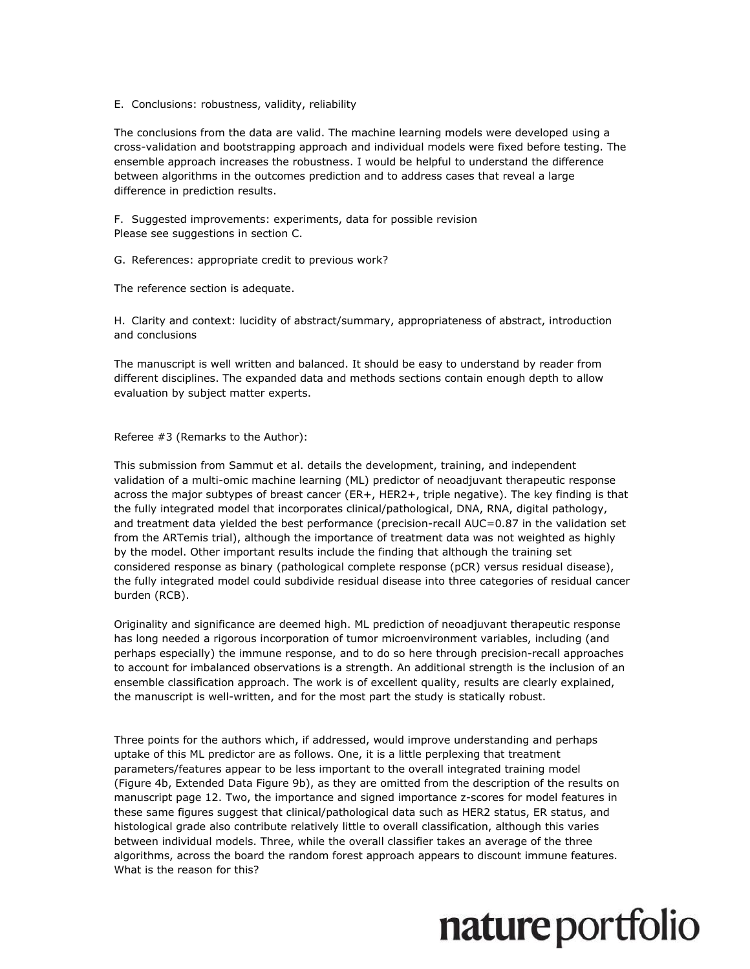E. Conclusions: robustness, validity, reliability

The conclusions from the data are valid. The machine learning models were developed using a cross-validation and bootstrapping approach and individual models were fixed before testing. The ensemble approach increases the robustness. I would be helpful to understand the difference between algorithms in the outcomes prediction and to address cases that reveal a large difference in prediction results.

F. Suggested improvements: experiments, data for possible revision Please see suggestions in section C.

G. References: appropriate credit to previous work?

The reference section is adequate.

H. Clarity and context: lucidity of abstract/summary, appropriateness of abstract, introduction and conclusions

The manuscript is well written and balanced. It should be easy to understand by reader from different disciplines. The expanded data and methods sections contain enough depth to allow evaluation by subject matter experts.

Referee #3 (Remarks to the Author):

This submission from Sammut et al. details the development, training, and independent validation of a multi-omic machine learning (ML) predictor of neoadjuvant therapeutic response across the major subtypes of breast cancer (ER+, HER2+, triple negative). The key finding is that the fully integrated model that incorporates clinical/pathological, DNA, RNA, digital pathology, and treatment data yielded the best performance (precision-recall AUC=0.87 in the validation set from the ARTemis trial), although the importance of treatment data was not weighted as highly by the model. Other important results include the finding that although the training set considered response as binary (pathological complete response (pCR) versus residual disease), the fully integrated model could subdivide residual disease into three categories of residual cancer burden (RCB).

Originality and significance are deemed high. ML prediction of neoadjuvant therapeutic response has long needed a rigorous incorporation of tumor microenvironment variables, including (and perhaps especially) the immune response, and to do so here through precision-recall approaches to account for imbalanced observations is a strength. An additional strength is the inclusion of an ensemble classification approach. The work is of excellent quality, results are clearly explained, the manuscript is well-written, and for the most part the study is statically robust.

Three points for the authors which, if addressed, would improve understanding and perhaps uptake of this ML predictor are as follows. One, it is a little perplexing that treatment parameters/features appear to be less important to the overall integrated training model (Figure 4b, Extended Data Figure 9b), as they are omitted from the description of the results on manuscript page 12. Two, the importance and signed importance z-scores for model features in these same figures suggest that clinical/pathological data such as HER2 status, ER status, and histological grade also contribute relatively little to overall classification, although this varies between individual models. Three, while the overall classifier takes an average of the three algorithms, across the board the random forest approach appears to discount immune features. What is the reason for this?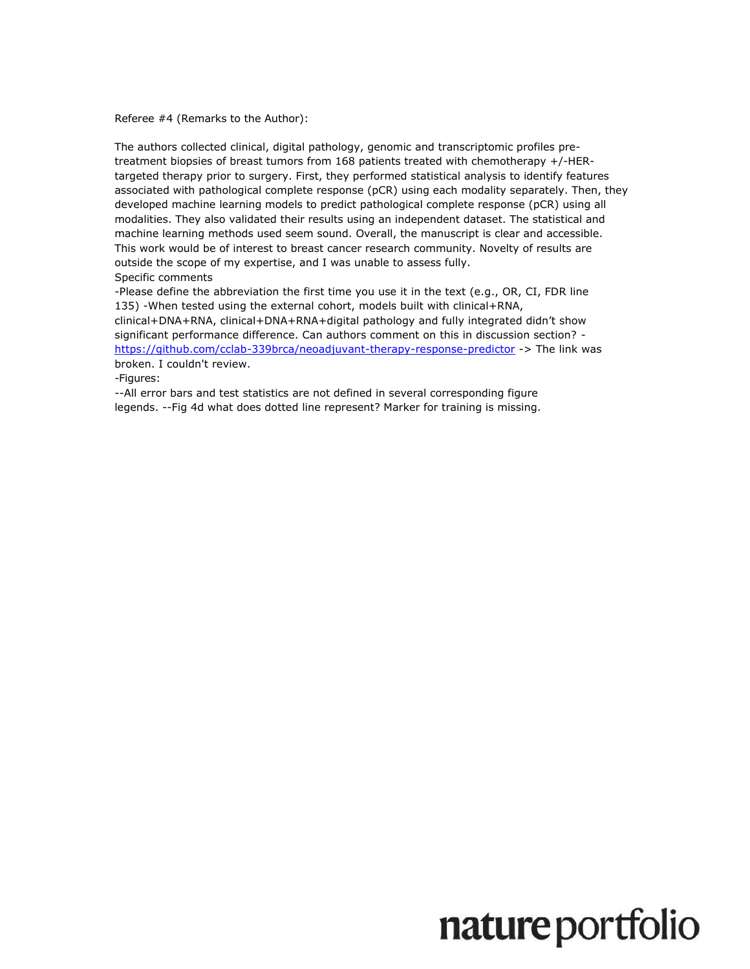Referee #4 (Remarks to the Author):

The authors collected clinical, digital pathology, genomic and transcriptomic profiles pretreatment biopsies of breast tumors from 168 patients treated with chemotherapy +/-HERtargeted therapy prior to surgery. First, they performed statistical analysis to identify features associated with pathological complete response (pCR) using each modality separately. Then, they developed machine learning models to predict pathological complete response (pCR) using all modalities. They also validated their results using an independent dataset. The statistical and machine learning methods used seem sound. Overall, the manuscript is clear and accessible. This work would be of interest to breast cancer research community. Novelty of results are outside the scope of my expertise, and I was unable to assess fully. Specific comments

-Please define the abbreviation the first time you use it in the text (e.g., OR, CI, FDR line 135) -When tested using the external cohort, models built with clinical+RNA, clinical+DNA+RNA, clinical+DNA+RNA+digital pathology and fully integrated didn't show significant performance difference. Can authors comment on this in discussion section? <https://github.com/cclab-339brca/neoadjuvant-therapy-response-predictor> -> The link was broken. I couldn't review.

-Figures:

--All error bars and test statistics are not defined in several corresponding figure legends. --Fig 4d what does dotted line represent? Marker for training is missing.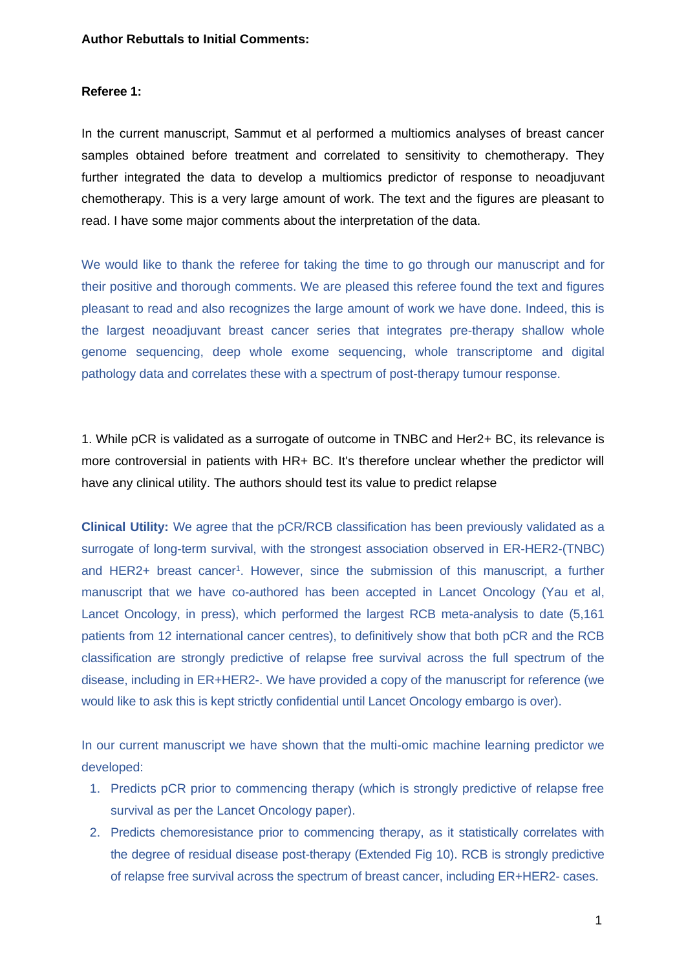#### **Author Rebuttals to Initial Comments:**

#### **Referee 1:**

In the current manuscript, Sammut et al performed a multiomics analyses of breast cancer samples obtained before treatment and correlated to sensitivity to chemotherapy. They further integrated the data to develop a multiomics predictor of response to neoadjuvant chemotherapy. This is a very large amount of work. The text and the figures are pleasant to read. I have some major comments about the interpretation of the data.

We would like to thank the referee for taking the time to go through our manuscript and for their positive and thorough comments. We are pleased this referee found the text and figures pleasant to read and also recognizes the large amount of work we have done. Indeed, this is the largest neoadjuvant breast cancer series that integrates pre-therapy shallow whole genome sequencing, deep whole exome sequencing, whole transcriptome and digital pathology data and correlates these with a spectrum of post-therapy tumour response.

1. While pCR is validated as a surrogate of outcome in TNBC and Her2+ BC, its relevance is more controversial in patients with HR+ BC. It's therefore unclear whether the predictor will have any clinical utility. The authors should test its value to predict relapse

**Clinical Utility:** We agree that the pCR/RCB classification has been previously validated as a surrogate of long-term survival, with the strongest association observed in ER-HER2-(TNBC) and HER2+ breast cancer<sup>1</sup>. However, since the submission of this manuscript, a further manuscript that we have co-authored has been accepted in Lancet Oncology (Yau et al, Lancet Oncology, in press), which performed the largest RCB meta-analysis to date (5,161 patients from 12 international cancer centres), to definitively show that both pCR and the RCB classification are strongly predictive of relapse free survival across the full spectrum of the disease, including in ER+HER2-. We have provided a copy of the manuscript for reference (we would like to ask this is kept strictly confidential until Lancet Oncology embargo is over).

In our current manuscript we have shown that the multi-omic machine learning predictor we developed:

- 1. Predicts pCR prior to commencing therapy (which is strongly predictive of relapse free survival as per the Lancet Oncology paper).
- 2. Predicts chemoresistance prior to commencing therapy, as it statistically correlates with the degree of residual disease post-therapy (Extended Fig 10). RCB is strongly predictive of relapse free survival across the spectrum of breast cancer, including ER+HER2- cases.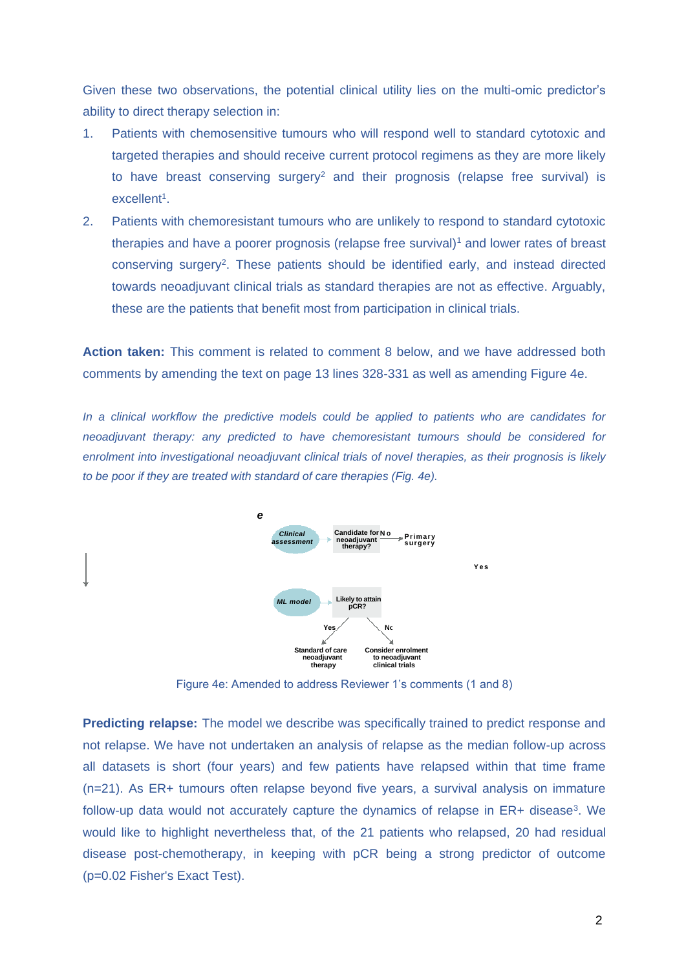Given these two observations, the potential clinical utility lies on the multi-omic predictor's ability to direct therapy selection in:

- 1. Patients with chemosensitive tumours who will respond well to standard cytotoxic and targeted therapies and should receive current protocol regimens as they are more likely to have breast conserving surgery<sup>2</sup> and their prognosis (relapse free survival) is excellent<sup>1</sup>.
- 2. Patients with chemoresistant tumours who are unlikely to respond to standard cytotoxic therapies and have a poorer prognosis (relapse free survival)<sup>1</sup> and lower rates of breast conserving surgery<sup>2</sup>. These patients should be identified early, and instead directed towards neoadjuvant clinical trials as standard therapies are not as effective. Arguably, these are the patients that benefit most from participation in clinical trials.

**Action taken:** This comment is related to comment 8 below, and we have addressed both comments by amending the text on page 13 lines 328-331 as well as amending Figure 4e.

*In a clinical workflow the predictive models could be applied to patients who are candidates for neoadjuvant therapy: any predicted to have chemoresistant tumours should be considered for enrolment into investigational neoadjuvant clinical trials of novel therapies, as their prognosis is likely to be poor if they are treated with standard of care therapies (Fig. 4e).*



Figure 4e: Amended to address Reviewer 1's comments (1 and 8)

**Predicting relapse:** The model we describe was specifically trained to predict response and not relapse. We have not undertaken an analysis of relapse as the median follow-up across all datasets is short (four years) and few patients have relapsed within that time frame (n=21). As ER+ tumours often relapse beyond five years, a survival analysis on immature follow-up data would not accurately capture the dynamics of relapse in ER+ disease<sup>3</sup>. We would like to highlight nevertheless that, of the 21 patients who relapsed, 20 had residual disease post-chemotherapy, in keeping with pCR being a strong predictor of outcome (p=0.02 Fisher's Exact Test).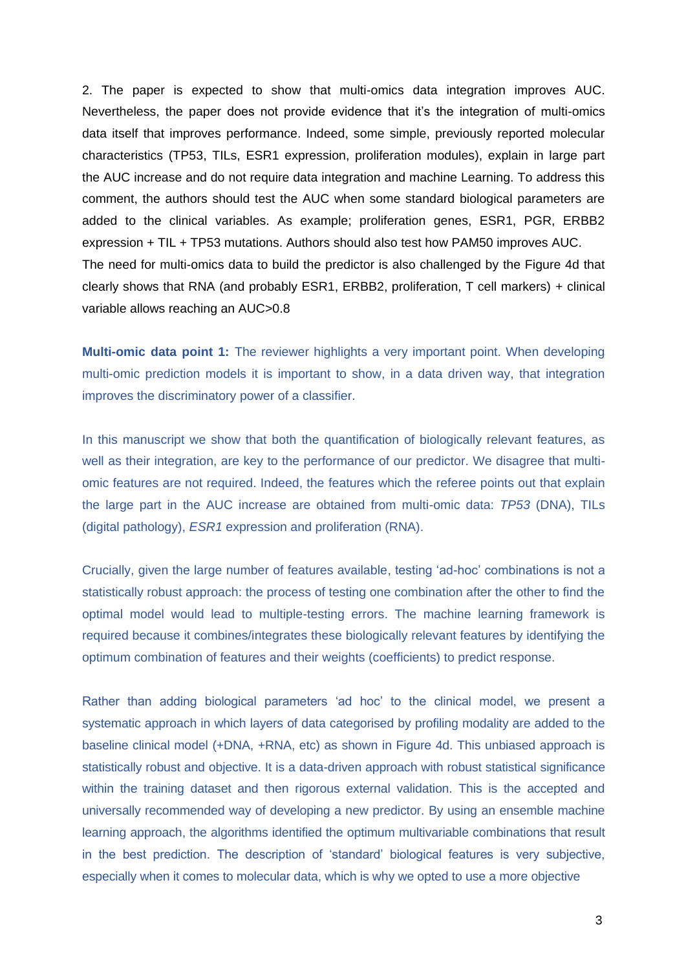2. The paper is expected to show that multi-omics data integration improves AUC. Nevertheless, the paper does not provide evidence that it's the integration of multi-omics data itself that improves performance. Indeed, some simple, previously reported molecular characteristics (TP53, TILs, ESR1 expression, proliferation modules), explain in large part the AUC increase and do not require data integration and machine Learning. To address this comment, the authors should test the AUC when some standard biological parameters are added to the clinical variables. As example; proliferation genes, ESR1, PGR, ERBB2 expression + TIL + TP53 mutations. Authors should also test how PAM50 improves AUC. The need for multi-omics data to build the predictor is also challenged by the Figure 4d that clearly shows that RNA (and probably ESR1, ERBB2, proliferation, T cell markers) + clinical variable allows reaching an AUC>0.8

**Multi-omic data point 1:** The reviewer highlights a very important point. When developing multi-omic prediction models it is important to show, in a data driven way, that integration improves the discriminatory power of a classifier.

In this manuscript we show that both the quantification of biologically relevant features, as well as their integration, are key to the performance of our predictor. We disagree that multiomic features are not required. Indeed, the features which the referee points out that explain the large part in the AUC increase are obtained from multi-omic data: *TP53* (DNA), TILs (digital pathology), *ESR1* expression and proliferation (RNA).

Crucially, given the large number of features available, testing 'ad-hoc' combinations is not a statistically robust approach: the process of testing one combination after the other to find the optimal model would lead to multiple-testing errors. The machine learning framework is required because it combines/integrates these biologically relevant features by identifying the optimum combination of features and their weights (coefficients) to predict response.

Rather than adding biological parameters 'ad hoc' to the clinical model, we present a systematic approach in which layers of data categorised by profiling modality are added to the baseline clinical model (+DNA, +RNA, etc) as shown in Figure 4d. This unbiased approach is statistically robust and objective. It is a data-driven approach with robust statistical significance within the training dataset and then rigorous external validation. This is the accepted and universally recommended way of developing a new predictor. By using an ensemble machine learning approach, the algorithms identified the optimum multivariable combinations that result in the best prediction. The description of 'standard' biological features is very subjective, especially when it comes to molecular data, which is why we opted to use a more objective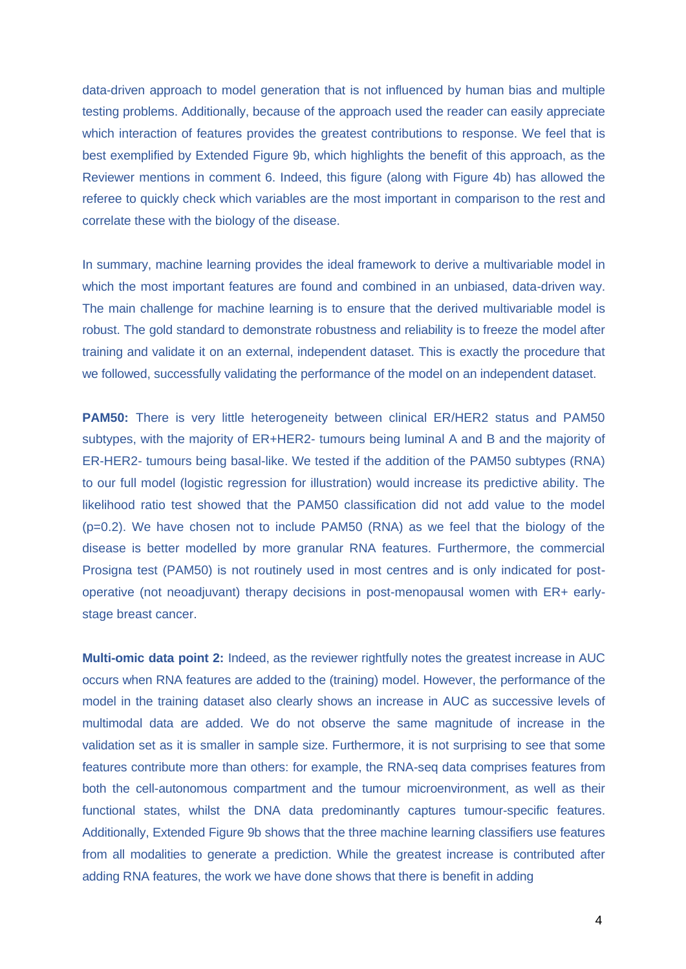data-driven approach to model generation that is not influenced by human bias and multiple testing problems. Additionally, because of the approach used the reader can easily appreciate which interaction of features provides the greatest contributions to response. We feel that is best exemplified by Extended Figure 9b, which highlights the benefit of this approach, as the Reviewer mentions in comment 6. Indeed, this figure (along with Figure 4b) has allowed the referee to quickly check which variables are the most important in comparison to the rest and correlate these with the biology of the disease.

In summary, machine learning provides the ideal framework to derive a multivariable model in which the most important features are found and combined in an unbiased, data-driven way. The main challenge for machine learning is to ensure that the derived multivariable model is robust. The gold standard to demonstrate robustness and reliability is to freeze the model after training and validate it on an external, independent dataset. This is exactly the procedure that we followed, successfully validating the performance of the model on an independent dataset.

**PAM50:** There is very little heterogeneity between clinical ER/HER2 status and PAM50 subtypes, with the majority of ER+HER2- tumours being luminal A and B and the majority of ER-HER2- tumours being basal-like. We tested if the addition of the PAM50 subtypes (RNA) to our full model (logistic regression for illustration) would increase its predictive ability. The likelihood ratio test showed that the PAM50 classification did not add value to the model (p=0.2). We have chosen not to include PAM50 (RNA) as we feel that the biology of the disease is better modelled by more granular RNA features. Furthermore, the commercial Prosigna test (PAM50) is not routinely used in most centres and is only indicated for postoperative (not neoadjuvant) therapy decisions in post-menopausal women with ER+ earlystage breast cancer.

**Multi-omic data point 2:** Indeed, as the reviewer rightfully notes the greatest increase in AUC occurs when RNA features are added to the (training) model. However, the performance of the model in the training dataset also clearly shows an increase in AUC as successive levels of multimodal data are added. We do not observe the same magnitude of increase in the validation set as it is smaller in sample size. Furthermore, it is not surprising to see that some features contribute more than others: for example, the RNA-seq data comprises features from both the cell-autonomous compartment and the tumour microenvironment, as well as their functional states, whilst the DNA data predominantly captures tumour-specific features. Additionally, Extended Figure 9b shows that the three machine learning classifiers use features from all modalities to generate a prediction. While the greatest increase is contributed after adding RNA features, the work we have done shows that there is benefit in adding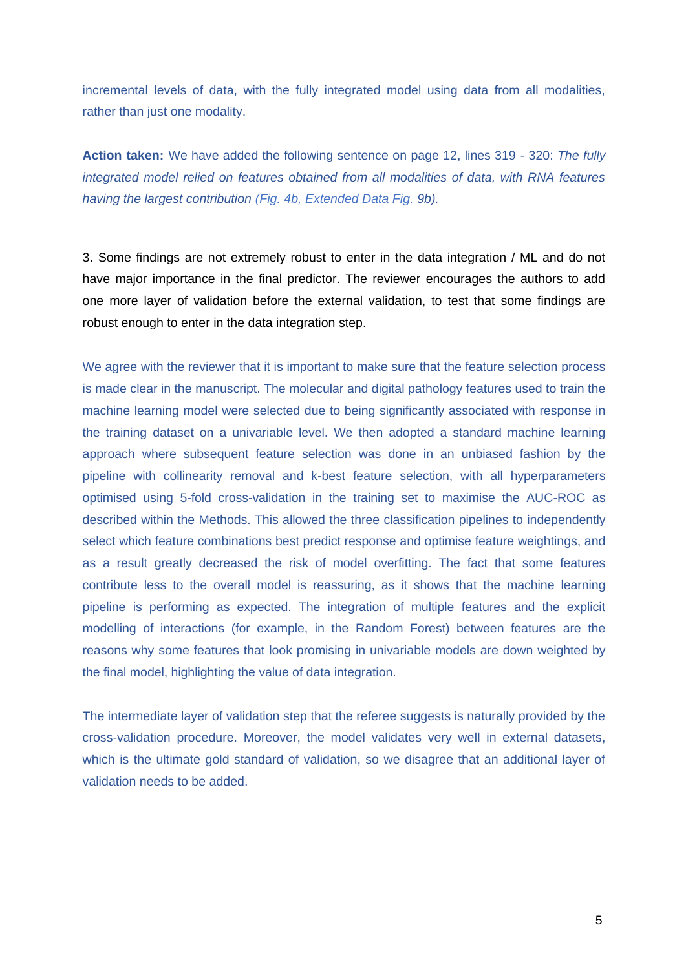incremental levels of data, with the fully integrated model using data from all modalities, rather than just one modality.

**Action taken:** We have added the following sentence on page 12, lines 319 - 320: *The fully integrated model relied on features obtained from all modalities of data, with RNA features having the largest contribution (Fig. 4b, Extended Data Fig. 9b).*

3. Some findings are not extremely robust to enter in the data integration / ML and do not have major importance in the final predictor. The reviewer encourages the authors to add one more layer of validation before the external validation, to test that some findings are robust enough to enter in the data integration step.

We agree with the reviewer that it is important to make sure that the feature selection process is made clear in the manuscript. The molecular and digital pathology features used to train the machine learning model were selected due to being significantly associated with response in the training dataset on a univariable level. We then adopted a standard machine learning approach where subsequent feature selection was done in an unbiased fashion by the pipeline with collinearity removal and k-best feature selection, with all hyperparameters optimised using 5-fold cross-validation in the training set to maximise the AUC-ROC as described within the Methods. This allowed the three classification pipelines to independently select which feature combinations best predict response and optimise feature weightings, and as a result greatly decreased the risk of model overfitting. The fact that some features contribute less to the overall model is reassuring, as it shows that the machine learning pipeline is performing as expected. The integration of multiple features and the explicit modelling of interactions (for example, in the Random Forest) between features are the reasons why some features that look promising in univariable models are down weighted by the final model, highlighting the value of data integration.

The intermediate layer of validation step that the referee suggests is naturally provided by the cross-validation procedure. Moreover, the model validates very well in external datasets, which is the ultimate gold standard of validation, so we disagree that an additional layer of validation needs to be added.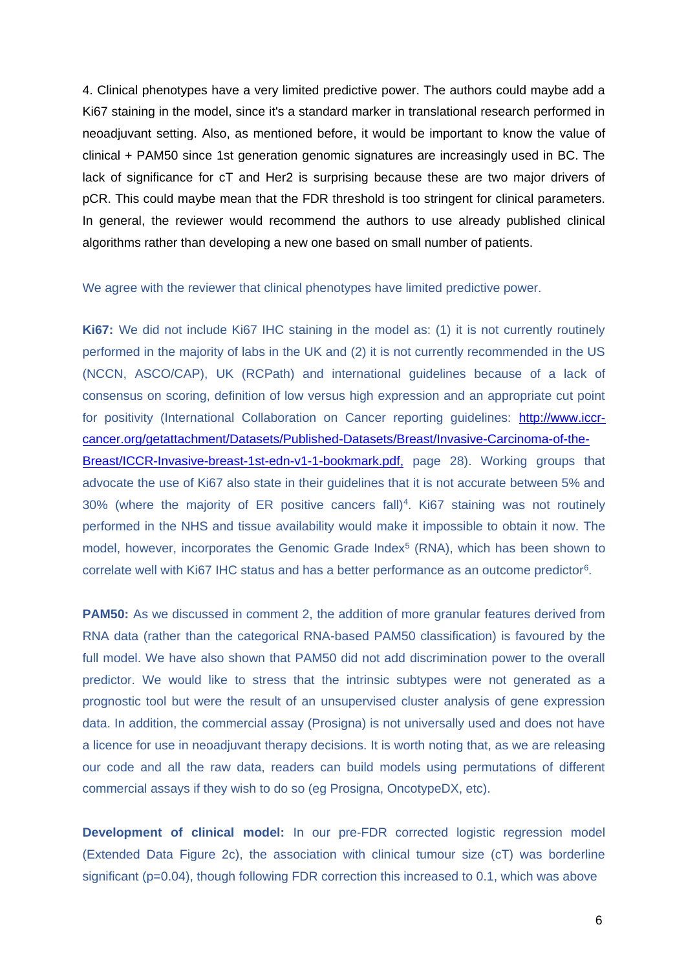4. Clinical phenotypes have a very limited predictive power. The authors could maybe add a Ki67 staining in the model, since it's a standard marker in translational research performed in neoadjuvant setting. Also, as mentioned before, it would be important to know the value of clinical + PAM50 since 1st generation genomic signatures are increasingly used in BC. The lack of significance for cT and Her2 is surprising because these are two major drivers of pCR. This could maybe mean that the FDR threshold is too stringent for clinical parameters. In general, the reviewer would recommend the authors to use already published clinical algorithms rather than developing a new one based on small number of patients.

#### We agree with the reviewer that clinical phenotypes have limited predictive power.

**Ki67:** We did not include Ki67 IHC staining in the model as: (1) it is not currently routinely performed in the majority of labs in the UK and (2) it is not currently recommended in the US (NCCN, ASCO/CAP), UK (RCPath) and international guidelines because of a lack of consensus on scoring, definition of low versus high expression and an appropriate cut point for positivity (International Collaboration on Cancer reporting guidelines: [http://www.iccr](http://www.iccr-cancer.org/getattachment/Datasets/Published-Datasets/Breast/Invasive-Carcinoma-of-the-Breast/ICCR-Invasive-breast-1st-edn-v1-1-bookmark.pdf,)[cancer.org/getattachment/Datasets/Published-Datasets/Breast/Invasive-Carcinoma-of-the-](http://www.iccr-cancer.org/getattachment/Datasets/Published-Datasets/Breast/Invasive-Carcinoma-of-the-Breast/ICCR-Invasive-breast-1st-edn-v1-1-bookmark.pdf,)[Breast/ICCR-Invasive-breast-1st-edn-v1-1-bookmark.pdf,](http://www.iccr-cancer.org/getattachment/Datasets/Published-Datasets/Breast/Invasive-Carcinoma-of-the-Breast/ICCR-Invasive-breast-1st-edn-v1-1-bookmark.pdf,) page 28). Working groups that advocate the use of Ki67 also state in their guidelines that it is not accurate between 5% and 30% (where the majority of ER positive cancers fall)<sup>4</sup>. Ki67 staining was not routinely performed in the NHS and tissue availability would make it impossible to obtain it now. The model, however, incorporates the Genomic Grade Index<sup>5</sup> (RNA), which has been shown to correlate well with Ki67 IHC status and has a better performance as an outcome predictor<sup>6</sup>.

**PAM50:** As we discussed in comment 2, the addition of more granular features derived from RNA data (rather than the categorical RNA-based PAM50 classification) is favoured by the full model. We have also shown that PAM50 did not add discrimination power to the overall predictor. We would like to stress that the intrinsic subtypes were not generated as a prognostic tool but were the result of an unsupervised cluster analysis of gene expression data. In addition, the commercial assay (Prosigna) is not universally used and does not have a licence for use in neoadjuvant therapy decisions. It is worth noting that, as we are releasing our code and all the raw data, readers can build models using permutations of different commercial assays if they wish to do so (eg Prosigna, OncotypeDX, etc).

**Development of clinical model:** In our pre-FDR corrected logistic regression model (Extended Data Figure 2c), the association with clinical tumour size (cT) was borderline significant (p=0.04), though following FDR correction this increased to 0.1, which was above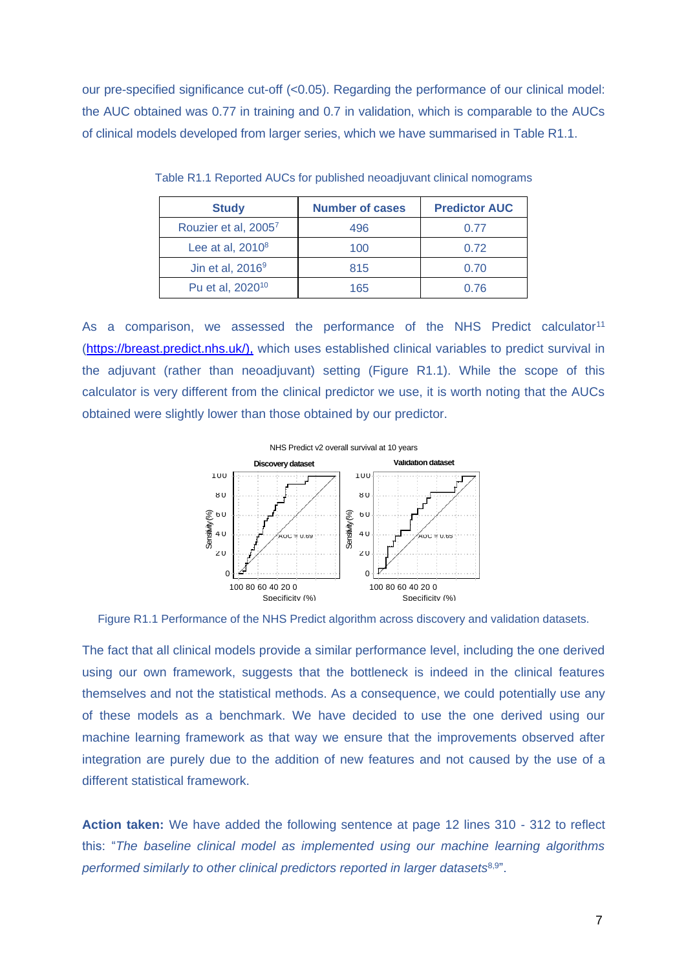our pre-specified significance cut-off (<0.05). Regarding the performance of our clinical model: the AUC obtained was 0.77 in training and 0.7 in validation, which is comparable to the AUCs of clinical models developed from larger series, which we have summarised in Table R1.1.

| <b>Study</b>                 | <b>Number of cases</b> | <b>Predictor AUC</b> |  |
|------------------------------|------------------------|----------------------|--|
| Rouzier et al, 20057         | 496                    | 0.77                 |  |
| Lee at al, $2010^8$          | 100                    | 0.72                 |  |
| Jin et al, $2016^9$          | 815                    | 0.70                 |  |
| Pu et al, 2020 <sup>10</sup> | 165                    | 0.76                 |  |

Table R1.1 Reported AUCs for published neoadjuvant clinical nomograms

As a comparison, we assessed the performance of the NHS Predict calculator<sup>11</sup> [\(https://breast.predict.nhs.uk/\)](https://breast.predict.nhs.uk/),), which uses established clinical variables to predict survival in the adjuvant (rather than neoadjuvant) setting (Figure R1.1). While the scope of this calculator is very different from the clinical predictor we use, it is worth noting that the AUCs obtained were slightly lower than those obtained by our predictor.



Figure R1.1 Performance of the NHS Predict algorithm across discovery and validation datasets.

The fact that all clinical models provide a similar performance level, including the one derived using our own framework, suggests that the bottleneck is indeed in the clinical features themselves and not the statistical methods. As a consequence, we could potentially use any of these models as a benchmark. We have decided to use the one derived using our machine learning framework as that way we ensure that the improvements observed after integration are purely due to the addition of new features and not caused by the use of a different statistical framework.

**Action taken:** We have added the following sentence at page 12 lines 310 - 312 to reflect this: "*The baseline clinical model as implemented using our machine learning algorithms performed similarly to other clinical predictors reported in larger datasets*8,9".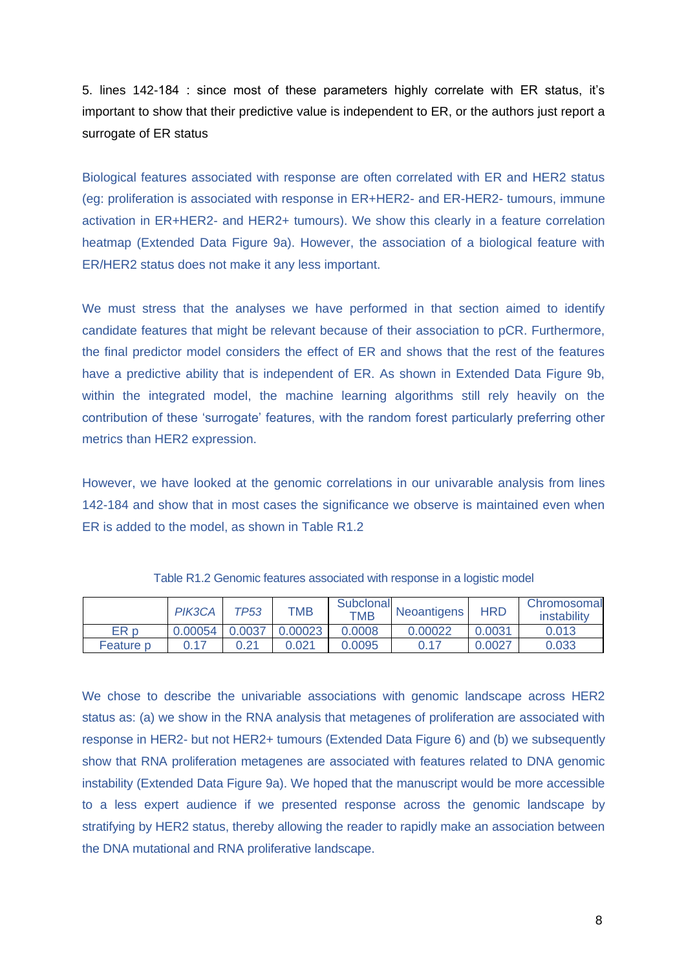5. lines 142-184 : since most of these parameters highly correlate with ER status, it's important to show that their predictive value is independent to ER, or the authors just report a surrogate of ER status

Biological features associated with response are often correlated with ER and HER2 status (eg: proliferation is associated with response in ER+HER2- and ER-HER2- tumours, immune activation in ER+HER2- and HER2+ tumours). We show this clearly in a feature correlation heatmap (Extended Data Figure 9a). However, the association of a biological feature with ER/HER2 status does not make it any less important.

We must stress that the analyses we have performed in that section aimed to identify candidate features that might be relevant because of their association to pCR. Furthermore, the final predictor model considers the effect of ER and shows that the rest of the features have a predictive ability that is independent of ER. As shown in Extended Data Figure 9b, within the integrated model, the machine learning algorithms still rely heavily on the contribution of these 'surrogate' features, with the random forest particularly preferring other metrics than HER2 expression.

However, we have looked at the genomic correlations in our univarable analysis from lines 142-184 and show that in most cases the significance we observe is maintained even when ER is added to the model, as shown in Table R1.2

|                      | PIK3CA           | TP53 | <b>TMB</b> | Subclonal<br><b>TMB</b> | Neoantigens | <b>HRD</b> | Chromosomal<br>instability |
|----------------------|------------------|------|------------|-------------------------|-------------|------------|----------------------------|
| ER p                 | $0.00054$ 0.0037 |      | 0.00023    | 0.0008                  | 0.00022     | 0.0031     | 0.013                      |
| Feature <sub>p</sub> | 0.17             | 0.21 | 0.021      | 0.0095                  | 0.17        | 0.0027     | 0.033                      |

Table R1.2 Genomic features associated with response in a logistic model

We chose to describe the univariable associations with genomic landscape across HER2 status as: (a) we show in the RNA analysis that metagenes of proliferation are associated with response in HER2- but not HER2+ tumours (Extended Data Figure 6) and (b) we subsequently show that RNA proliferation metagenes are associated with features related to DNA genomic instability (Extended Data Figure 9a). We hoped that the manuscript would be more accessible to a less expert audience if we presented response across the genomic landscape by stratifying by HER2 status, thereby allowing the reader to rapidly make an association between the DNA mutational and RNA proliferative landscape.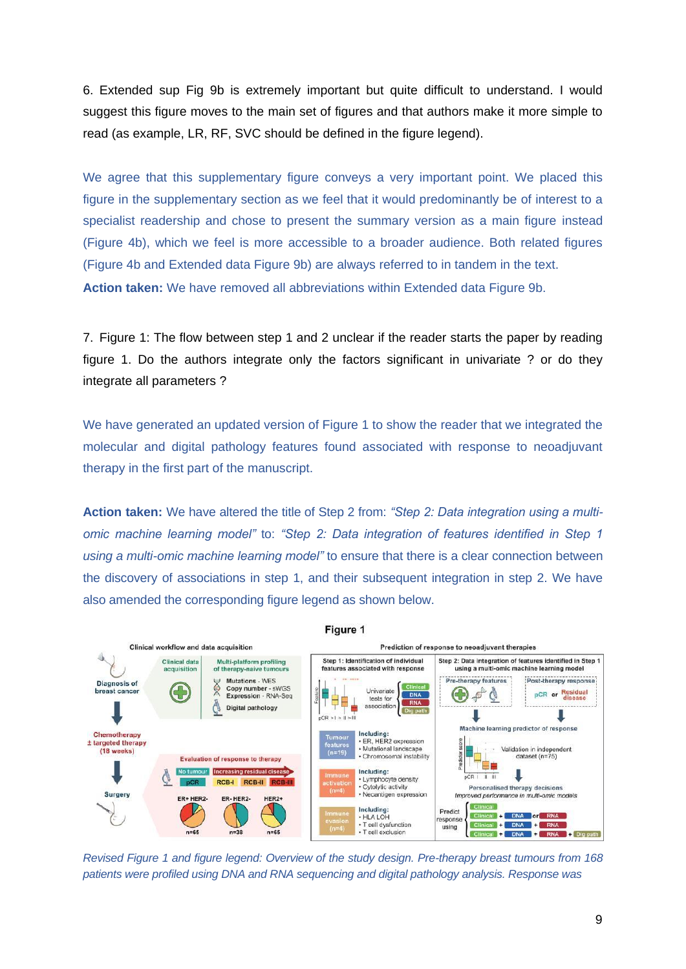6. Extended sup Fig 9b is extremely important but quite difficult to understand. I would suggest this figure moves to the main set of figures and that authors make it more simple to read (as example, LR, RF, SVC should be defined in the figure legend).

We agree that this supplementary figure conveys a very important point. We placed this figure in the supplementary section as we feel that it would predominantly be of interest to a specialist readership and chose to present the summary version as a main figure instead (Figure 4b), which we feel is more accessible to a broader audience. Both related figures (Figure 4b and Extended data Figure 9b) are always referred to in tandem in the text. **Action taken:** We have removed all abbreviations within Extended data Figure 9b.

7. Figure 1: The flow between step 1 and 2 unclear if the reader starts the paper by reading figure 1. Do the authors integrate only the factors significant in univariate ? or do they integrate all parameters ?

We have generated an updated version of Figure 1 to show the reader that we integrated the molecular and digital pathology features found associated with response to neoadjuvant therapy in the first part of the manuscript.

**Action taken:** We have altered the title of Step 2 from: *"Step 2: Data integration using a multiomic machine learning model"* to: *"Step 2: Data integration of features identified in Step 1 using a multi-omic machine learning model"* to ensure that there is a clear connection between the discovery of associations in step 1, and their subsequent integration in step 2. We have also amended the corresponding figure legend as shown below.



*Revised Figure 1 and figure legend: Overview of the study design. Pre-therapy breast tumours from 168 patients were profiled using DNA and RNA sequencing and digital pathology analysis. Response was*

9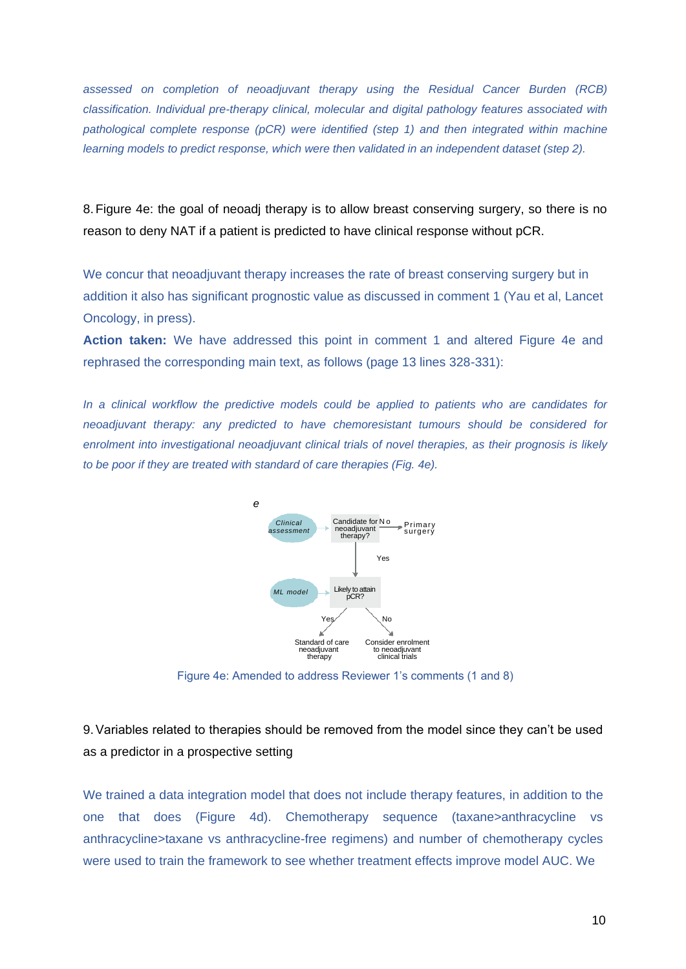*assessed on completion of neoadjuvant therapy using the Residual Cancer Burden (RCB) classification. Individual pre-therapy clinical, molecular and digital pathology features associated with*  pathological complete response (pCR) were identified (step 1) and then integrated within machine *learning models to predict response, which were then validated in an independent dataset (step 2).*

8.Figure 4e: the goal of neoadj therapy is to allow breast conserving surgery, so there is no reason to deny NAT if a patient is predicted to have clinical response without pCR.

We concur that neoadjuvant therapy increases the rate of breast conserving surgery but in addition it also has significant prognostic value as discussed in comment 1 (Yau et al, Lancet Oncology, in press).

**Action taken:** We have addressed this point in comment 1 and altered Figure 4e and rephrased the corresponding main text, as follows (page 13 lines 328-331):

*In a clinical workflow the predictive models could be applied to patients who are candidates for neoadjuvant therapy: any predicted to have chemoresistant tumours should be considered for enrolment into investigational neoadjuvant clinical trials of novel therapies, as their prognosis is likely to be poor if they are treated with standard of care therapies (Fig. 4e).*



Figure 4e: Amended to address Reviewer 1's comments (1 and 8)

9.Variables related to therapies should be removed from the model since they can't be used as a predictor in a prospective setting

We trained a data integration model that does not include therapy features, in addition to the one that does (Figure 4d). Chemotherapy sequence (taxane>anthracycline vs anthracycline>taxane vs anthracycline-free regimens) and number of chemotherapy cycles were used to train the framework to see whether treatment effects improve model AUC. We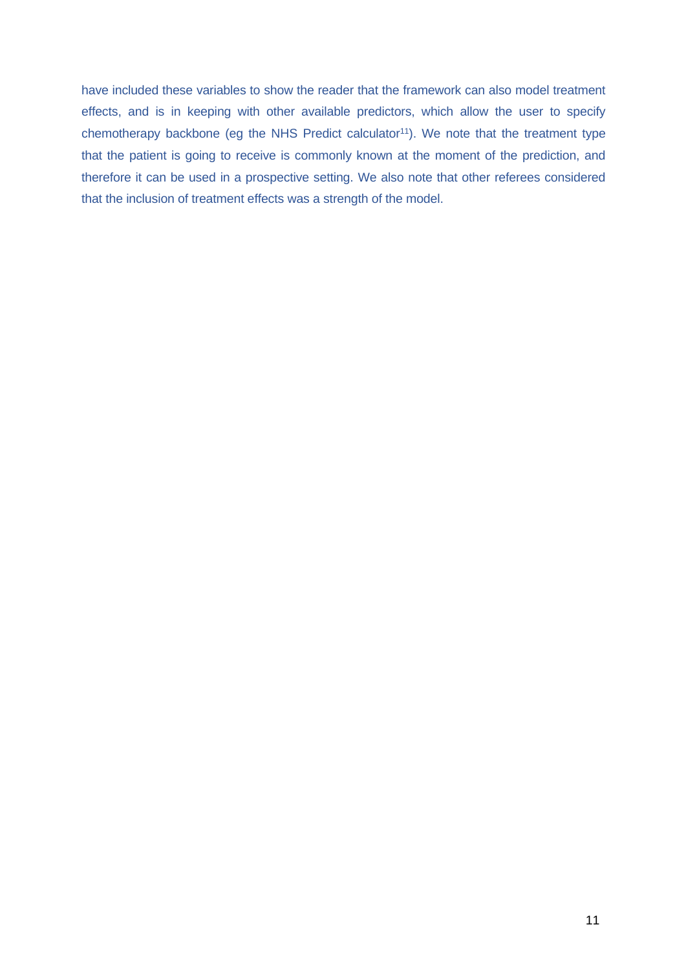have included these variables to show the reader that the framework can also model treatment effects, and is in keeping with other available predictors, which allow the user to specify chemotherapy backbone (eg the NHS Predict calculator<sup>11</sup>). We note that the treatment type that the patient is going to receive is commonly known at the moment of the prediction, and therefore it can be used in a prospective setting. We also note that other referees considered that the inclusion of treatment effects was a strength of the model.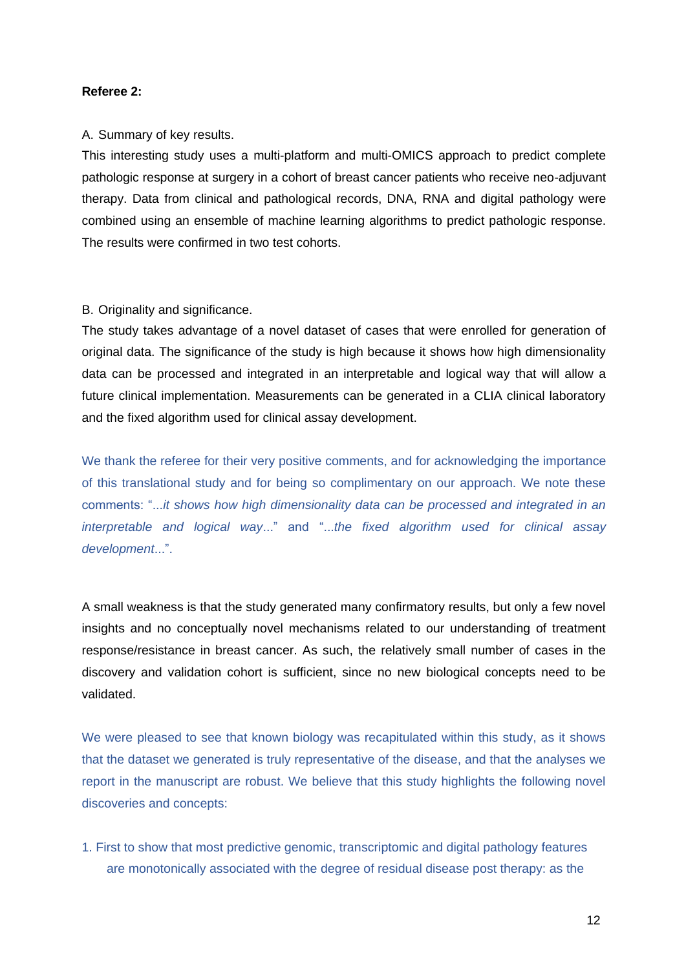#### **Referee 2:**

#### A. Summary of key results.

This interesting study uses a multi-platform and multi-OMICS approach to predict complete pathologic response at surgery in a cohort of breast cancer patients who receive neo-adjuvant therapy. Data from clinical and pathological records, DNA, RNA and digital pathology were combined using an ensemble of machine learning algorithms to predict pathologic response. The results were confirmed in two test cohorts.

#### B. Originality and significance.

The study takes advantage of a novel dataset of cases that were enrolled for generation of original data. The significance of the study is high because it shows how high dimensionality data can be processed and integrated in an interpretable and logical way that will allow a future clinical implementation. Measurements can be generated in a CLIA clinical laboratory and the fixed algorithm used for clinical assay development.

We thank the referee for their very positive comments, and for acknowledging the importance of this translational study and for being so complimentary on our approach. We note these comments: "...*it shows how high dimensionality data can be processed and integrated in an interpretable and logical way*..." and "...*the fixed algorithm used for clinical assay development*...".

A small weakness is that the study generated many confirmatory results, but only a few novel insights and no conceptually novel mechanisms related to our understanding of treatment response/resistance in breast cancer. As such, the relatively small number of cases in the discovery and validation cohort is sufficient, since no new biological concepts need to be validated.

We were pleased to see that known biology was recapitulated within this study, as it shows that the dataset we generated is truly representative of the disease, and that the analyses we report in the manuscript are robust. We believe that this study highlights the following novel discoveries and concepts:

1. First to show that most predictive genomic, transcriptomic and digital pathology features are monotonically associated with the degree of residual disease post therapy: as the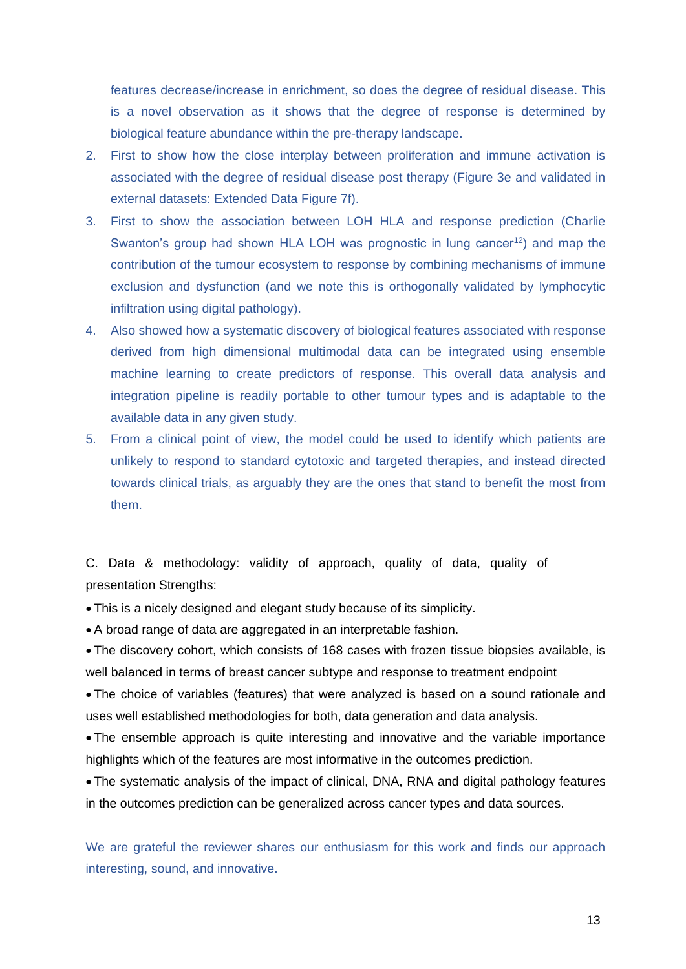features decrease/increase in enrichment, so does the degree of residual disease. This is a novel observation as it shows that the degree of response is determined by biological feature abundance within the pre-therapy landscape.

- 2. First to show how the close interplay between proliferation and immune activation is associated with the degree of residual disease post therapy (Figure 3e and validated in external datasets: Extended Data Figure 7f).
- 3. First to show the association between LOH HLA and response prediction (Charlie Swanton's group had shown HLA LOH was prognostic in lung cancer<sup>12</sup>) and map the contribution of the tumour ecosystem to response by combining mechanisms of immune exclusion and dysfunction (and we note this is orthogonally validated by lymphocytic infiltration using digital pathology).
- 4. Also showed how a systematic discovery of biological features associated with response derived from high dimensional multimodal data can be integrated using ensemble machine learning to create predictors of response. This overall data analysis and integration pipeline is readily portable to other tumour types and is adaptable to the available data in any given study.
- 5. From a clinical point of view, the model could be used to identify which patients are unlikely to respond to standard cytotoxic and targeted therapies, and instead directed towards clinical trials, as arguably they are the ones that stand to benefit the most from them.

C. Data & methodology: validity of approach, quality of data, quality of presentation Strengths:

This is a nicely designed and elegant study because of its simplicity.

A broad range of data are aggregated in an interpretable fashion.

 The discovery cohort, which consists of 168 cases with frozen tissue biopsies available, is well balanced in terms of breast cancer subtype and response to treatment endpoint

 The choice of variables (features) that were analyzed is based on a sound rationale and uses well established methodologies for both, data generation and data analysis.

 The ensemble approach is quite interesting and innovative and the variable importance highlights which of the features are most informative in the outcomes prediction.

 The systematic analysis of the impact of clinical, DNA, RNA and digital pathology features in the outcomes prediction can be generalized across cancer types and data sources.

We are grateful the reviewer shares our enthusiasm for this work and finds our approach interesting, sound, and innovative.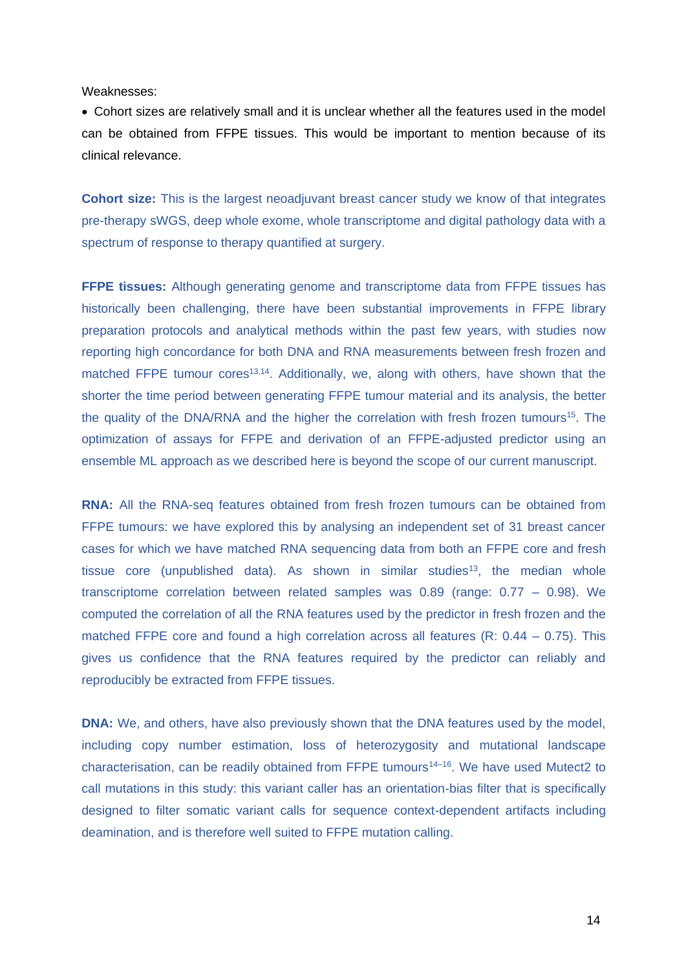Weaknesses:

 Cohort sizes are relatively small and it is unclear whether all the features used in the model can be obtained from FFPE tissues. This would be important to mention because of its clinical relevance.

**Cohort size:** This is the largest neoadjuvant breast cancer study we know of that integrates pre-therapy sWGS, deep whole exome, whole transcriptome and digital pathology data with a spectrum of response to therapy quantified at surgery.

**FFPE tissues:** Although generating genome and transcriptome data from FFPE tissues has historically been challenging, there have been substantial improvements in FFPE library preparation protocols and analytical methods within the past few years, with studies now reporting high concordance for both DNA and RNA measurements between fresh frozen and matched FFPE tumour cores<sup>13,14</sup>. Additionally, we, along with others, have shown that the shorter the time period between generating FFPE tumour material and its analysis, the better the quality of the DNA/RNA and the higher the correlation with fresh frozen tumours<sup>15</sup>. The optimization of assays for FFPE and derivation of an FFPE-adjusted predictor using an ensemble ML approach as we described here is beyond the scope of our current manuscript.

**RNA:** All the RNA-seq features obtained from fresh frozen tumours can be obtained from FFPE tumours: we have explored this by analysing an independent set of 31 breast cancer cases for which we have matched RNA sequencing data from both an FFPE core and fresh tissue core (unpublished data). As shown in similar studies<sup>13</sup>, the median whole transcriptome correlation between related samples was 0.89 (range: 0.77 – 0.98). We computed the correlation of all the RNA features used by the predictor in fresh frozen and the matched FFPE core and found a high correlation across all features  $(R: 0.44 - 0.75)$ . This gives us confidence that the RNA features required by the predictor can reliably and reproducibly be extracted from FFPE tissues.

**DNA:** We, and others, have also previously shown that the DNA features used by the model, including copy number estimation, loss of heterozygosity and mutational landscape characterisation, can be readily obtained from FFPE tumours<sup>14–16</sup>. We have used Mutect2 to call mutations in this study: this variant caller has an orientation-bias filter that is specifically designed to filter somatic variant calls for sequence context-dependent artifacts including deamination, and is therefore well suited to FFPE mutation calling.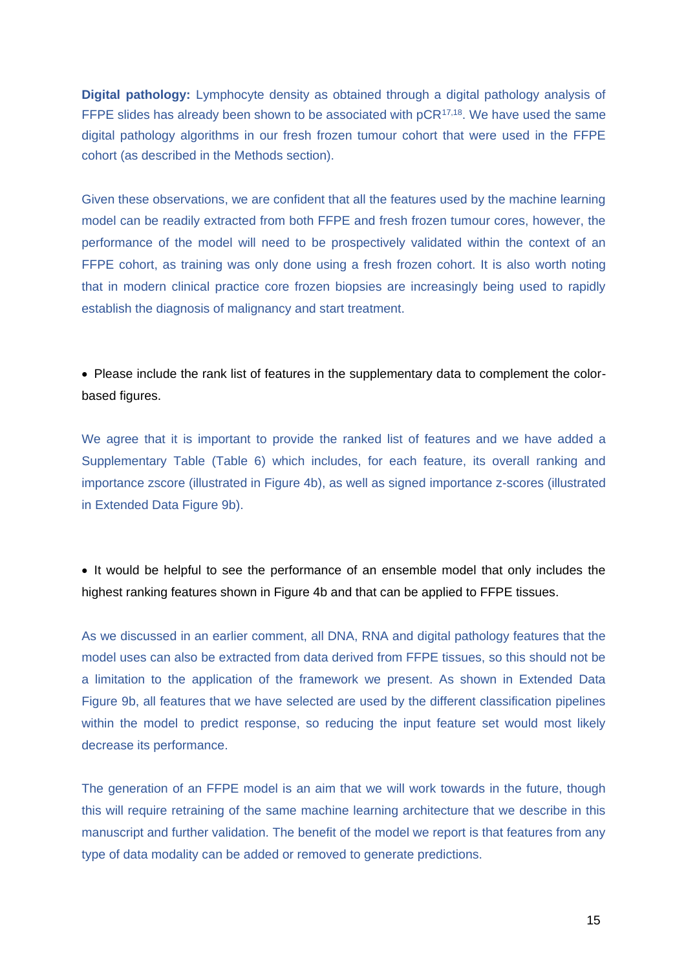**Digital pathology:** Lymphocyte density as obtained through a digital pathology analysis of FFPE slides has already been shown to be associated with  $DCR^{17,18}$ . We have used the same digital pathology algorithms in our fresh frozen tumour cohort that were used in the FFPE cohort (as described in the Methods section).

Given these observations, we are confident that all the features used by the machine learning model can be readily extracted from both FFPE and fresh frozen tumour cores, however, the performance of the model will need to be prospectively validated within the context of an FFPE cohort, as training was only done using a fresh frozen cohort. It is also worth noting that in modern clinical practice core frozen biopsies are increasingly being used to rapidly establish the diagnosis of malignancy and start treatment.

 Please include the rank list of features in the supplementary data to complement the colorbased figures.

We agree that it is important to provide the ranked list of features and we have added a Supplementary Table (Table 6) which includes, for each feature, its overall ranking and importance zscore (illustrated in Figure 4b), as well as signed importance z-scores (illustrated in Extended Data Figure 9b).

• It would be helpful to see the performance of an ensemble model that only includes the highest ranking features shown in Figure 4b and that can be applied to FFPE tissues.

As we discussed in an earlier comment, all DNA, RNA and digital pathology features that the model uses can also be extracted from data derived from FFPE tissues, so this should not be a limitation to the application of the framework we present. As shown in Extended Data Figure 9b, all features that we have selected are used by the different classification pipelines within the model to predict response, so reducing the input feature set would most likely decrease its performance.

The generation of an FFPE model is an aim that we will work towards in the future, though this will require retraining of the same machine learning architecture that we describe in this manuscript and further validation. The benefit of the model we report is that features from any type of data modality can be added or removed to generate predictions.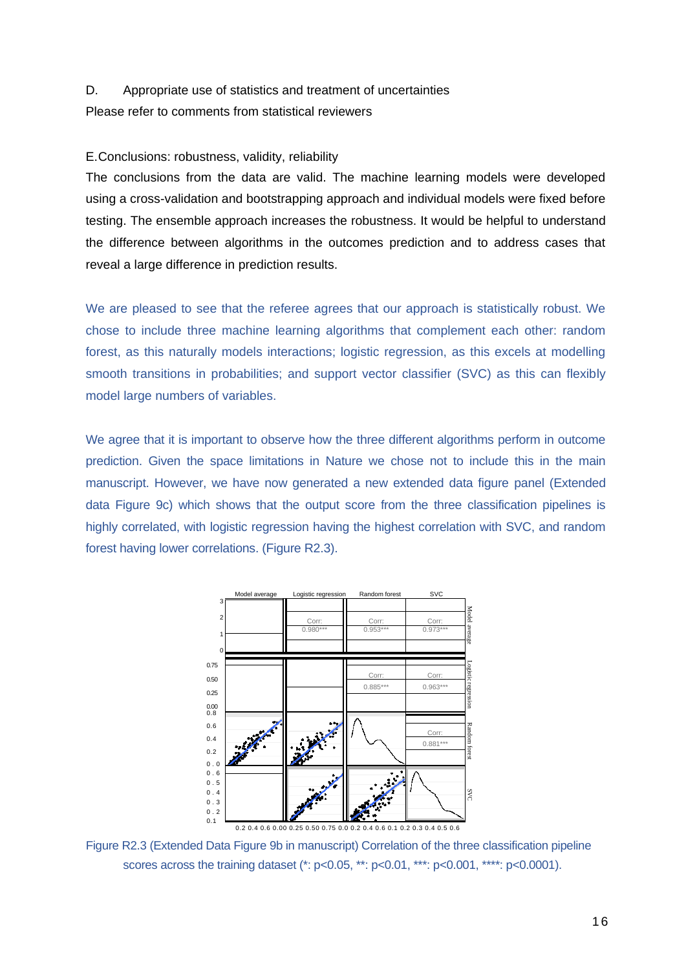#### D. Appropriate use of statistics and treatment of uncertainties

Please refer to comments from statistical reviewers

#### E.Conclusions: robustness, validity, reliability

The conclusions from the data are valid. The machine learning models were developed using a cross-validation and bootstrapping approach and individual models were fixed before testing. The ensemble approach increases the robustness. It would be helpful to understand the difference between algorithms in the outcomes prediction and to address cases that reveal a large difference in prediction results.

We are pleased to see that the referee agrees that our approach is statistically robust. We chose to include three machine learning algorithms that complement each other: random forest, as this naturally models interactions; logistic regression, as this excels at modelling smooth transitions in probabilities; and support vector classifier (SVC) as this can flexibly model large numbers of variables.

We agree that it is important to observe how the three different algorithms perform in outcome prediction. Given the space limitations in Nature we chose not to include this in the main manuscript. However, we have now generated a new extended data figure panel (Extended data Figure 9c) which shows that the output score from the three classification pipelines is highly correlated, with logistic regression having the highest correlation with SVC, and random forest having lower correlations. (Figure R2.3).



Figure R2.3 (Extended Data Figure 9b in manuscript) Correlation of the three classification pipeline scores across the training dataset (\*: p<0.05, \*\*: p<0.01, \*\*\*: p<0.001, \*\*\*\*: p<0.0001).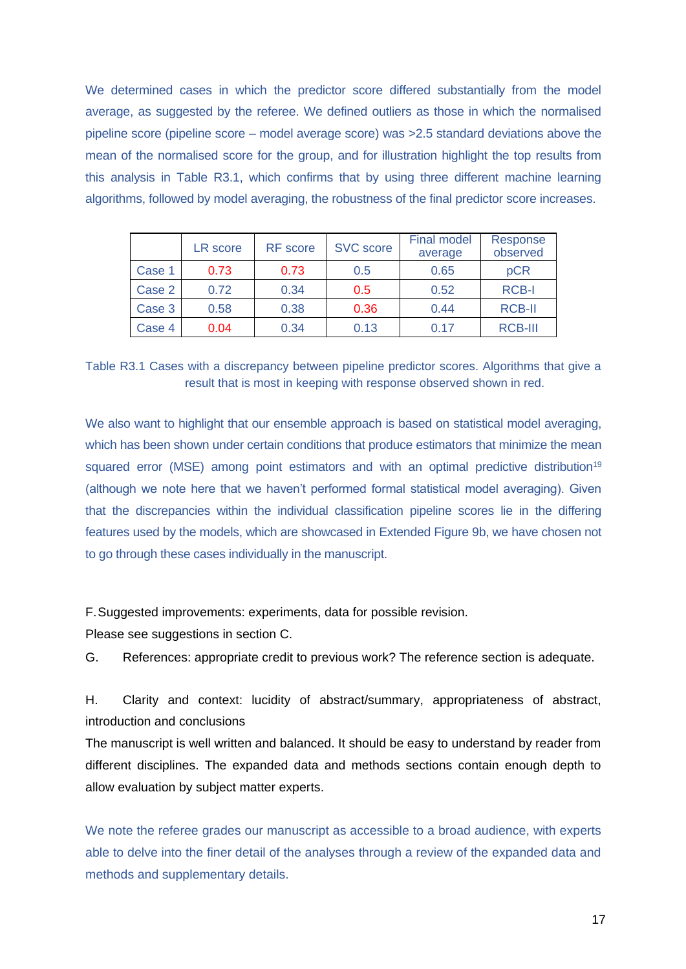We determined cases in which the predictor score differed substantially from the model average, as suggested by the referee. We defined outliers as those in which the normalised pipeline score (pipeline score – model average score) was >2.5 standard deviations above the mean of the normalised score for the group, and for illustration highlight the top results from this analysis in Table R3.1, which confirms that by using three different machine learning algorithms, followed by model averaging, the robustness of the final predictor score increases.

|        | LR score | <b>RF</b> score | <b>SVC</b> score | <b>Final model</b><br>average | <b>Response</b><br>observed |
|--------|----------|-----------------|------------------|-------------------------------|-----------------------------|
| Case 1 | 0.73     | 0.73            | 0.5              | 0.65                          | pCR                         |
| Case 2 | 0.72     | 0.34            | 0.5              | 0.52                          | <b>RCB-I</b>                |
| Case 3 | 0.58     | 0.38            | 0.36             | 0.44                          | <b>RCB-II</b>               |
| Case 4 | 0.04     | 0.34            | 0.13             | 0.17                          | <b>RCB-III</b>              |

Table R3.1 Cases with a discrepancy between pipeline predictor scores. Algorithms that give a result that is most in keeping with response observed shown in red.

We also want to highlight that our ensemble approach is based on statistical model averaging, which has been shown under certain conditions that produce estimators that minimize the mean squared error (MSE) among point estimators and with an optimal predictive distribution<sup>19</sup> (although we note here that we haven't performed formal statistical model averaging). Given that the discrepancies within the individual classification pipeline scores lie in the differing features used by the models, which are showcased in Extended Figure 9b, we have chosen not to go through these cases individually in the manuscript.

F.Suggested improvements: experiments, data for possible revision.

Please see suggestions in section C.

G. References: appropriate credit to previous work? The reference section is adequate.

H. Clarity and context: lucidity of abstract/summary, appropriateness of abstract, introduction and conclusions

The manuscript is well written and balanced. It should be easy to understand by reader from different disciplines. The expanded data and methods sections contain enough depth to allow evaluation by subject matter experts.

We note the referee grades our manuscript as accessible to a broad audience, with experts able to delve into the finer detail of the analyses through a review of the expanded data and methods and supplementary details.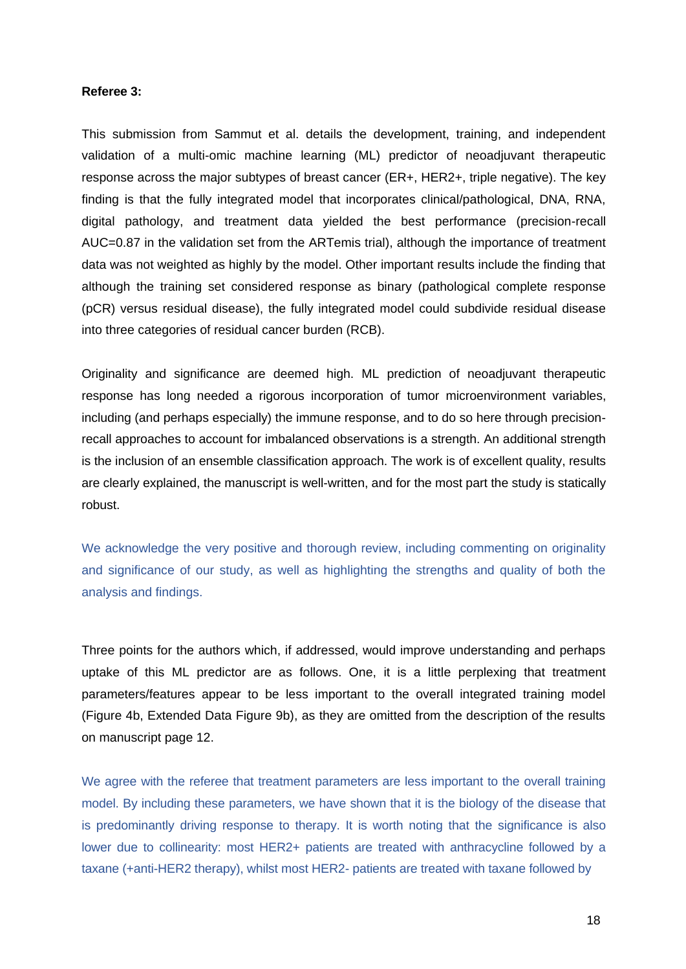#### **Referee 3:**

This submission from Sammut et al. details the development, training, and independent validation of a multi-omic machine learning (ML) predictor of neoadjuvant therapeutic response across the major subtypes of breast cancer (ER+, HER2+, triple negative). The key finding is that the fully integrated model that incorporates clinical/pathological, DNA, RNA, digital pathology, and treatment data yielded the best performance (precision-recall AUC=0.87 in the validation set from the ARTemis trial), although the importance of treatment data was not weighted as highly by the model. Other important results include the finding that although the training set considered response as binary (pathological complete response (pCR) versus residual disease), the fully integrated model could subdivide residual disease into three categories of residual cancer burden (RCB).

Originality and significance are deemed high. ML prediction of neoadjuvant therapeutic response has long needed a rigorous incorporation of tumor microenvironment variables, including (and perhaps especially) the immune response, and to do so here through precisionrecall approaches to account for imbalanced observations is a strength. An additional strength is the inclusion of an ensemble classification approach. The work is of excellent quality, results are clearly explained, the manuscript is well-written, and for the most part the study is statically robust.

We acknowledge the very positive and thorough review, including commenting on originality and significance of our study, as well as highlighting the strengths and quality of both the analysis and findings.

Three points for the authors which, if addressed, would improve understanding and perhaps uptake of this ML predictor are as follows. One, it is a little perplexing that treatment parameters/features appear to be less important to the overall integrated training model (Figure 4b, Extended Data Figure 9b), as they are omitted from the description of the results on manuscript page 12.

We agree with the referee that treatment parameters are less important to the overall training model. By including these parameters, we have shown that it is the biology of the disease that is predominantly driving response to therapy. It is worth noting that the significance is also lower due to collinearity: most HER2+ patients are treated with anthracycline followed by a taxane (+anti-HER2 therapy), whilst most HER2- patients are treated with taxane followed by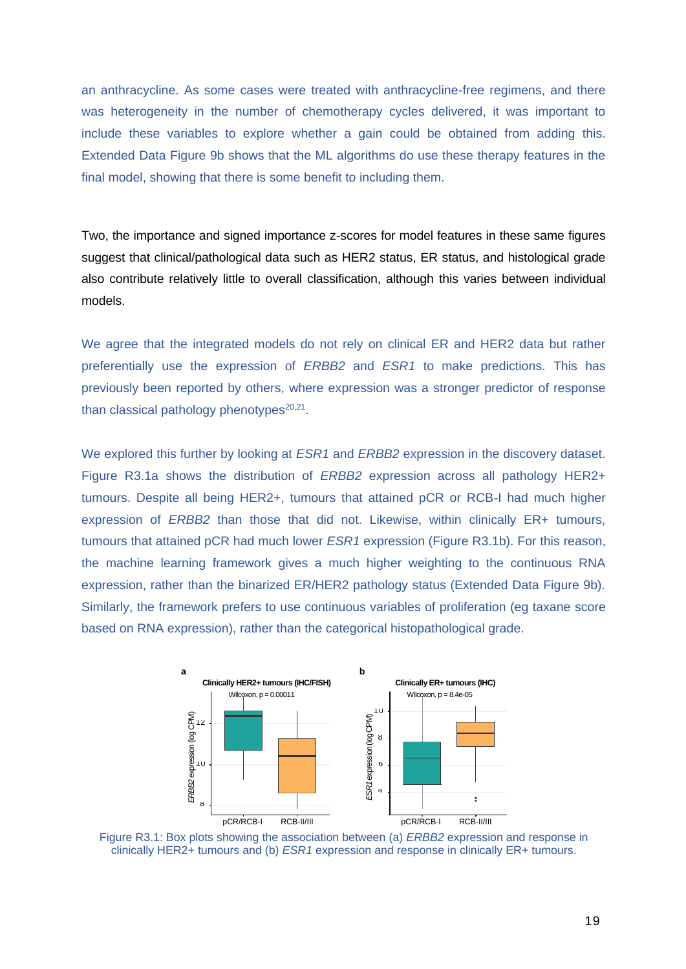an anthracycline. As some cases were treated with anthracycline-free regimens, and there was heterogeneity in the number of chemotherapy cycles delivered, it was important to include these variables to explore whether a gain could be obtained from adding this. Extended Data Figure 9b shows that the ML algorithms do use these therapy features in the final model, showing that there is some benefit to including them.

Two, the importance and signed importance z-scores for model features in these same figures suggest that clinical/pathological data such as HER2 status, ER status, and histological grade also contribute relatively little to overall classification, although this varies between individual models.

We agree that the integrated models do not rely on clinical ER and HER2 data but rather preferentially use the expression of *ERBB2* and *ESR1* to make predictions. This has previously been reported by others, where expression was a stronger predictor of response than classical pathology phenotypes $20,21$ .

We explored this further by looking at *ESR1* and *ERBB2* expression in the discovery dataset. Figure R3.1a shows the distribution of *ERBB2* expression across all pathology HER2+ tumours. Despite all being HER2+, tumours that attained pCR or RCB-I had much higher expression of *ERBB2* than those that did not. Likewise, within clinically ER+ tumours, tumours that attained pCR had much lower *ESR1* expression (Figure R3.1b). For this reason, the machine learning framework gives a much higher weighting to the continuous RNA expression, rather than the binarized ER/HER2 pathology status (Extended Data Figure 9b). Similarly, the framework prefers to use continuous variables of proliferation (eg taxane score based on RNA expression), rather than the categorical histopathological grade.



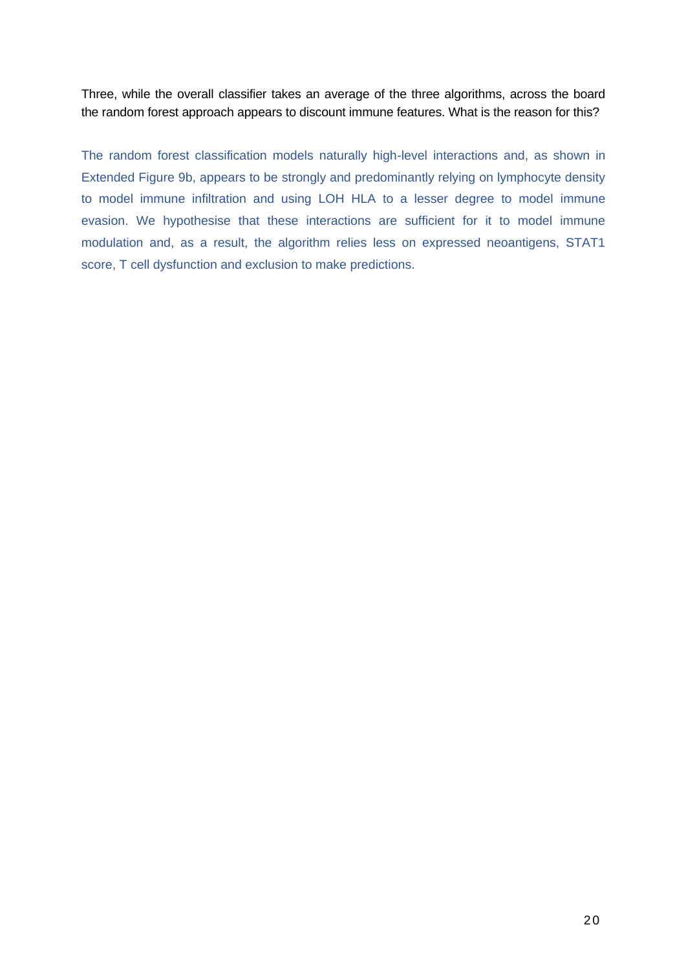Three, while the overall classifier takes an average of the three algorithms, across the board the random forest approach appears to discount immune features. What is the reason for this?

The random forest classification models naturally high-level interactions and, as shown in Extended Figure 9b, appears to be strongly and predominantly relying on lymphocyte density to model immune infiltration and using LOH HLA to a lesser degree to model immune evasion. We hypothesise that these interactions are sufficient for it to model immune modulation and, as a result, the algorithm relies less on expressed neoantigens, STAT1 score, T cell dysfunction and exclusion to make predictions.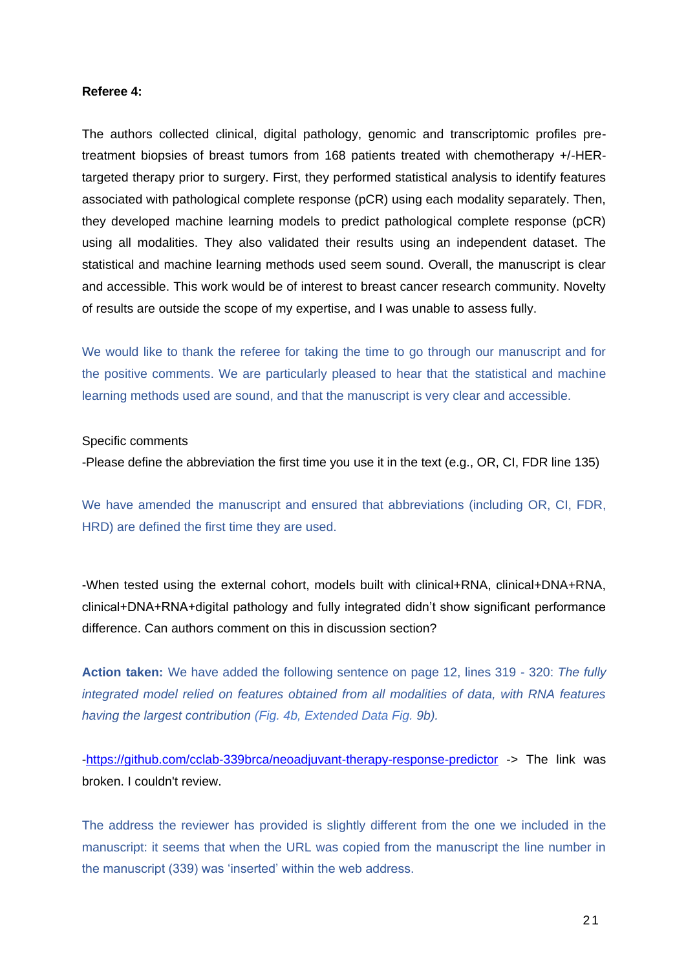#### **Referee 4:**

The authors collected clinical, digital pathology, genomic and transcriptomic profiles pretreatment biopsies of breast tumors from 168 patients treated with chemotherapy +/-HERtargeted therapy prior to surgery. First, they performed statistical analysis to identify features associated with pathological complete response (pCR) using each modality separately. Then, they developed machine learning models to predict pathological complete response (pCR) using all modalities. They also validated their results using an independent dataset. The statistical and machine learning methods used seem sound. Overall, the manuscript is clear and accessible. This work would be of interest to breast cancer research community. Novelty of results are outside the scope of my expertise, and I was unable to assess fully.

We would like to thank the referee for taking the time to go through our manuscript and for the positive comments. We are particularly pleased to hear that the statistical and machine learning methods used are sound, and that the manuscript is very clear and accessible.

#### Specific comments

-Please define the abbreviation the first time you use it in the text (e.g., OR, CI, FDR line 135)

We have amended the manuscript and ensured that abbreviations (including OR, CI, FDR, HRD) are defined the first time they are used.

-When tested using the external cohort, models built with clinical+RNA, clinical+DNA+RNA, clinical+DNA+RNA+digital pathology and fully integrated didn't show significant performance difference. Can authors comment on this in discussion section?

**Action taken:** We have added the following sentence on page 12, lines 319 - 320: *The fully integrated model relied on features obtained from all modalities of data, with RNA features having the largest contribution (Fig. 4b, Extended Data Fig. 9b).*

[-https://github.com/cclab-339brca/neoadjuvant-therapy-response-predictor](https://github.com/cclab-339brca/neoadjuvant-therapy-response-predictor) -> The link was broken. I couldn't review.

The address the reviewer has provided is slightly different from the one we included in the manuscript: it seems that when the URL was copied from the manuscript the line number in the manuscript (339) was 'inserted' within the web address.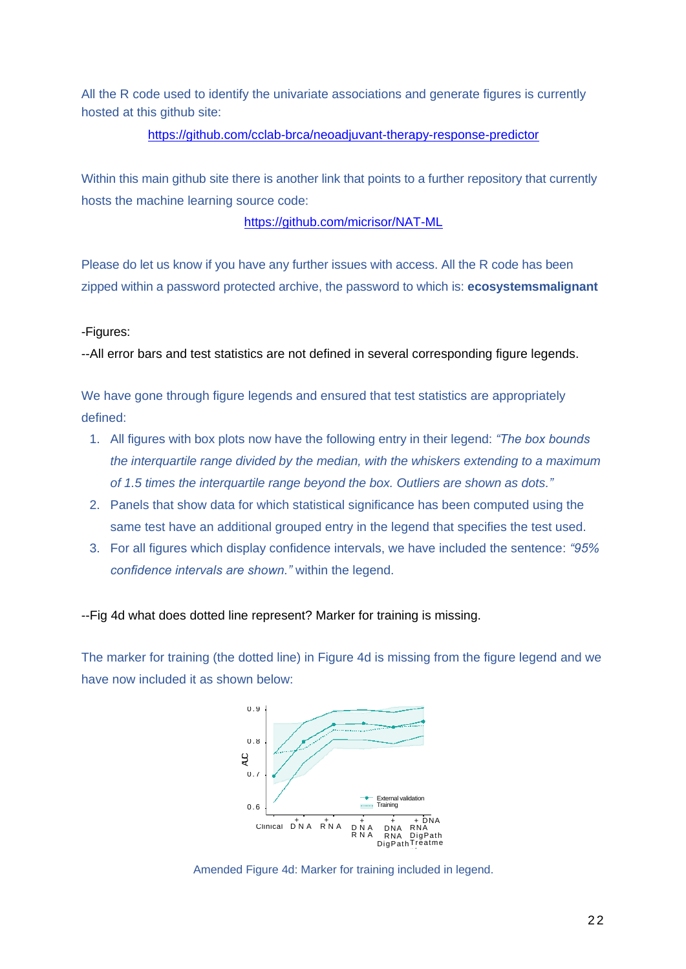All the R code used to identify the univariate associations and generate figures is currently hosted at this github site:

### <https://github.com/cclab-brca/neoadjuvant-therapy-response-predictor>

Within this main github site there is another link that points to a further repository that currently hosts the machine learning source code:

<https://github.com/micrisor/NAT-ML>

Please do let us know if you have any further issues with access. All the R code has been zipped within a password protected archive, the password to which is: **ecosystemsmalignant**

### -Figures:

--All error bars and test statistics are not defined in several corresponding figure legends.

We have gone through figure legends and ensured that test statistics are appropriately defined:

- 1. All figures with box plots now have the following entry in their legend: *"The box bounds the interquartile range divided by the median, with the whiskers extending to a maximum of 1.5 times the interquartile range beyond the box. Outliers are shown as dots."*
- 2. Panels that show data for which statistical significance has been computed using the same test have an additional grouped entry in the legend that specifies the test used.
- 3. For all figures which display confidence intervals, we have included the sentence: *"95% confidence intervals are shown."* within the legend.

--Fig 4d what does dotted line represent? Marker for training is missing.

The marker for training (the dotted line) in Figure 4d is missing from the figure legend and we have now included it as shown below:



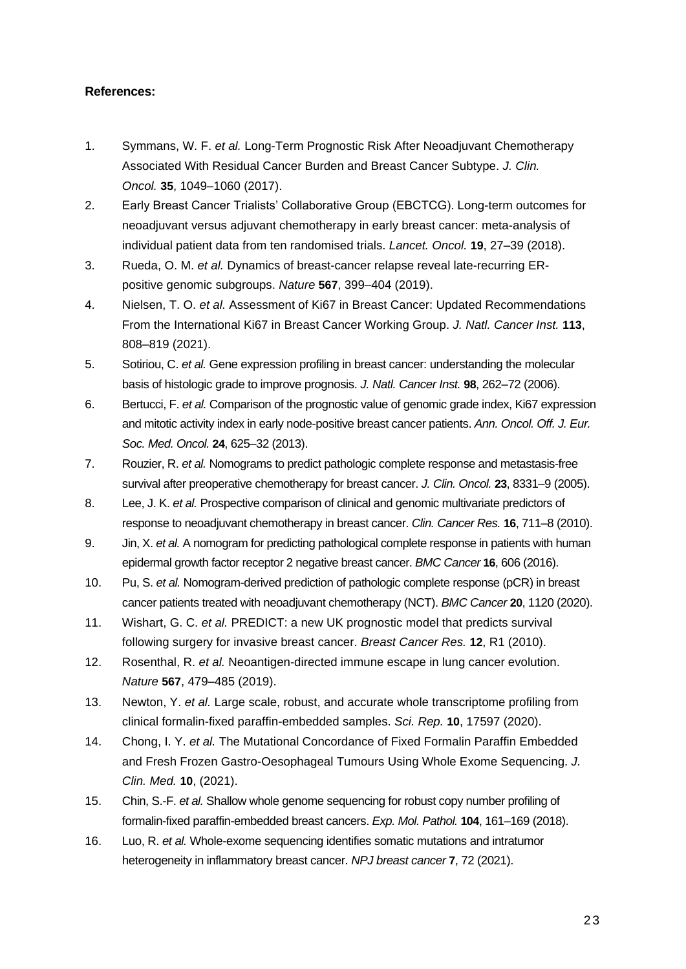### **References:**

- 1. Symmans, W. F. *et al.* Long-Term Prognostic Risk After Neoadjuvant Chemotherapy Associated With Residual Cancer Burden and Breast Cancer Subtype. *J. Clin. Oncol.* **35**, 1049–1060 (2017).
- 2. Early Breast Cancer Trialists' Collaborative Group (EBCTCG). Long-term outcomes for neoadjuvant versus adjuvant chemotherapy in early breast cancer: meta-analysis of individual patient data from ten randomised trials. *Lancet. Oncol.* **19**, 27–39 (2018).
- 3. Rueda, O. M. *et al.* Dynamics of breast-cancer relapse reveal late-recurring ERpositive genomic subgroups. *Nature* **567**, 399–404 (2019).
- 4. Nielsen, T. O. *et al.* Assessment of Ki67 in Breast Cancer: Updated Recommendations From the International Ki67 in Breast Cancer Working Group. *J. Natl. Cancer Inst.* **113**, 808–819 (2021).
- 5. Sotiriou, C. *et al.* Gene expression profiling in breast cancer: understanding the molecular basis of histologic grade to improve prognosis. *J. Natl. Cancer Inst.* **98**, 262–72 (2006).
- 6. Bertucci, F. *et al.* Comparison of the prognostic value of genomic grade index, Ki67 expression and mitotic activity index in early node-positive breast cancer patients. *Ann. Oncol. Off. J. Eur. Soc. Med. Oncol.* **24**, 625–32 (2013).
- 7. Rouzier, R. *et al.* Nomograms to predict pathologic complete response and metastasis-free survival after preoperative chemotherapy for breast cancer. *J. Clin. Oncol.* **23**, 8331–9 (2005).
- 8. Lee, J. K. *et al.* Prospective comparison of clinical and genomic multivariate predictors of response to neoadjuvant chemotherapy in breast cancer. *Clin. Cancer Res.* **16**, 711–8 (2010).
- 9. Jin, X. *et al.* A nomogram for predicting pathological complete response in patients with human epidermal growth factor receptor 2 negative breast cancer. *BMC Cancer* **16**, 606 (2016).
- 10. Pu, S. *et al.* Nomogram-derived prediction of pathologic complete response (pCR) in breast cancer patients treated with neoadjuvant chemotherapy (NCT). *BMC Cancer* **20**, 1120 (2020).
- 11. Wishart, G. C. *et al.* PREDICT: a new UK prognostic model that predicts survival following surgery for invasive breast cancer. *Breast Cancer Res.* **12**, R1 (2010).
- 12. Rosenthal, R. *et al.* Neoantigen-directed immune escape in lung cancer evolution. *Nature* **567**, 479–485 (2019).
- 13. Newton, Y. *et al.* Large scale, robust, and accurate whole transcriptome profiling from clinical formalin-fixed paraffin-embedded samples. *Sci. Rep.* **10**, 17597 (2020).
- 14. Chong, I. Y. *et al.* The Mutational Concordance of Fixed Formalin Paraffin Embedded and Fresh Frozen Gastro-Oesophageal Tumours Using Whole Exome Sequencing. *J. Clin. Med.* **10**, (2021).
- 15. Chin, S.-F. *et al.* Shallow whole genome sequencing for robust copy number profiling of formalin-fixed paraffin-embedded breast cancers. *Exp. Mol. Pathol.* **104**, 161–169 (2018).
- 16. Luo, R. *et al.* Whole-exome sequencing identifies somatic mutations and intratumor heterogeneity in inflammatory breast cancer. *NPJ breast cancer* **7**, 72 (2021).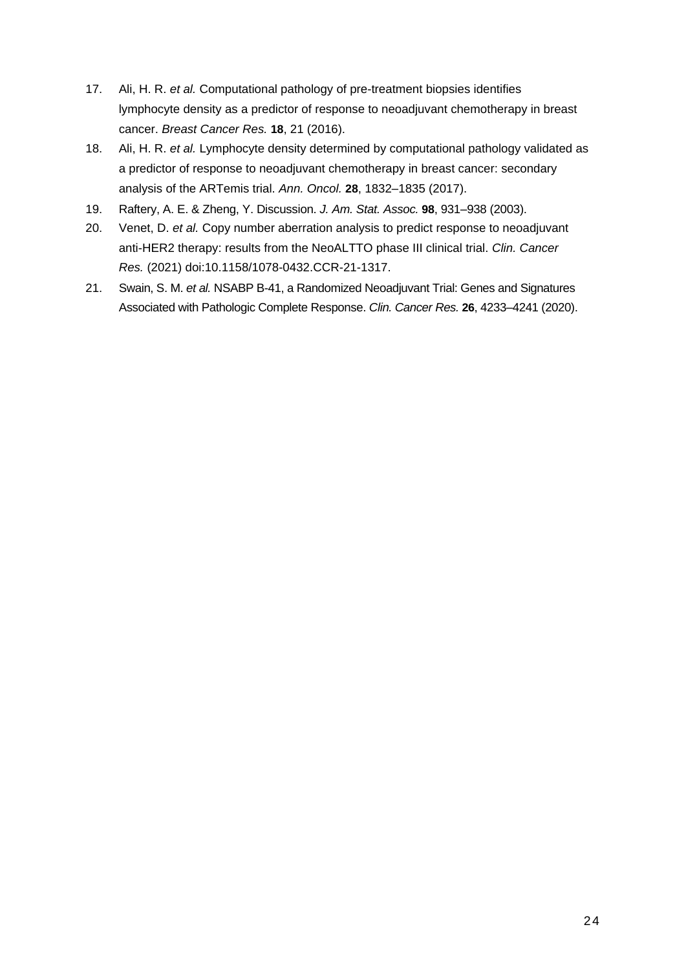- 17. Ali, H. R. *et al.* Computational pathology of pre-treatment biopsies identifies lymphocyte density as a predictor of response to neoadjuvant chemotherapy in breast cancer. *Breast Cancer Res.* **18**, 21 (2016).
- 18. Ali, H. R. *et al.* Lymphocyte density determined by computational pathology validated as a predictor of response to neoadjuvant chemotherapy in breast cancer: secondary analysis of the ARTemis trial. *Ann. Oncol.* **28**, 1832–1835 (2017).
- 19. Raftery, A. E. & Zheng, Y. Discussion. *J. Am. Stat. Assoc.* **98**, 931–938 (2003).
- 20. Venet, D. *et al.* Copy number aberration analysis to predict response to neoadjuvant anti-HER2 therapy: results from the NeoALTTO phase III clinical trial. *Clin. Cancer Res.* (2021) doi:10.1158/1078-0432.CCR-21-1317.
- 21. Swain, S. M. *et al.* NSABP B-41, a Randomized Neoadjuvant Trial: Genes and Signatures Associated with Pathologic Complete Response. *Clin. Cancer Res.* **26**, 4233–4241 (2020).